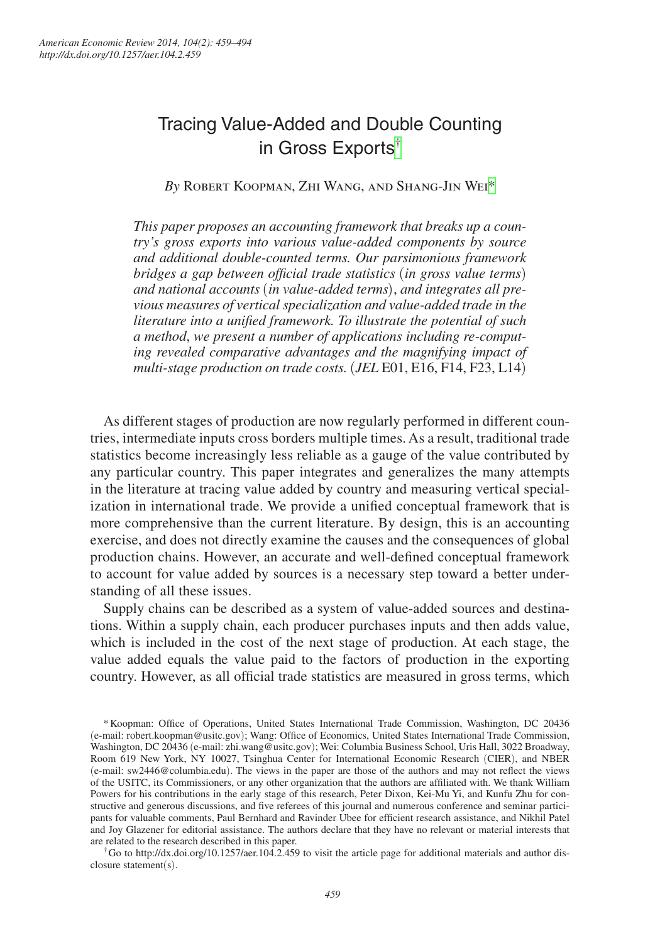# Tracing Value-Added and Double Counting in Gross Exports[†](#page-0-0)

*By* Robert Koopman, Zhi Wang, and Shang-Jin Wei[\\*](#page-0-1)

*This paper proposes an accounting framework that breaks up a country's gross exports into various value-added components by source and additional double-counted terms. Our parsimonious framework bridges a gap between official trade statistics* (*in gross value terms*) *and national accounts* (*in value-added terms*), *and integrates all previous measures of vertical specialization and value-added trade in the literature into a unified framework. To illustrate the potential of such a method*, *we present a number of applications including re-computing revealed comparative advantages and the magnifying impact of multi-stage production on trade costs.* (*JEL* E01, E16, F14, F23, L14)

As different stages of production are now regularly performed in different countries, intermediate inputs cross borders multiple times. As a result, traditional trade statistics become increasingly less reliable as a gauge of the value contributed by any particular country. This paper integrates and generalizes the many attempts in the literature at tracing value added by country and measuring vertical specialization in international trade. We provide a unified conceptual framework that is more comprehensive than the current literature. By design, this is an accounting exercise, and does not directly examine the causes and the consequences of global production chains. However, an accurate and well-defined conceptual framework to account for value added by sources is a necessary step toward a better understanding of all these issues.

Supply chains can be described as a system of value-added sources and destinations. Within a supply chain, each producer purchases inputs and then adds value, which is included in the cost of the next stage of production. At each stage, the value added equals the value paid to the factors of production in the exporting country. However, as all official trade statistics are measured in gross terms, which

<span id="page-0-0"></span>closure statement(s).

<span id="page-0-1"></span><sup>\*</sup>Koopman: Office of Operations, United States International Trade Commission, Washington, DC 20436 (e-mail: robert.koopman@usitc.gov); Wang: Office of Economics, United States International Trade Commission, Washington, DC 20436 (e-mail: zhi.wang@usitc.gov); Wei: Columbia Business School, Uris Hall, 3022 Broadway, Room 619 New York, NY 10027, Tsinghua Center for International Economic Research (CIER), and NBER (e-mail: sw2446@columbia.edu). The views in the paper are those of the authors and may not reflect the views of the USITC, its Commissioners, or any other organization that the authors are affiliated with. We thank William Powers for his contributions in the early stage of this research, Peter Dixon, Kei-Mu Yi, and Kunfu Zhu for constructive and generous discussions, and five referees of this journal and numerous conference and seminar participants for valuable comments, Paul Bernhard and Ravinder Ubee for efficient research assistance, and Nikhil Patel and Joy Glazener for editorial assistance. The authors declare that they have no relevant or material interests that are related to the research described in this paper.<br>
<sup>†</sup>Go to http://dx.doi.org/10.1257/aer.104.2.459 to visit the article page for additional materials and author dis-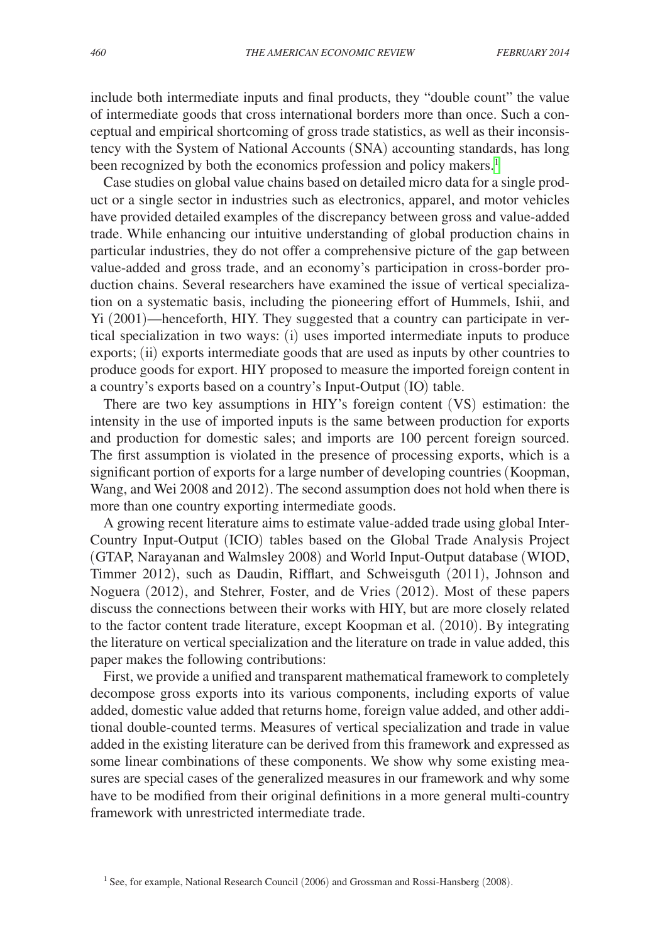include both intermediate inputs and final products, they "double count" the value of intermediate goods that cross international borders more than once. Such a conceptual and empirical shortcoming of gross trade statistics, as well as their inconsistency with the System of National Accounts (SNA) accounting standards, has long been recognized by both the economics profession and policy makers.<sup>1</sup>

Case studies on global value chains based on detailed micro data for a single product or a single sector in industries such as electronics, apparel, and motor vehicles have provided detailed examples of the discrepancy between gross and value-added trade. While enhancing our intuitive understanding of global production chains in particular industries, they do not offer a comprehensive picture of the gap between value-added and gross trade, and an economy's participation in cross-border production chains. Several researchers have examined the issue of vertical specialization on a systematic basis, including the pioneering effort of Hummels, Ishii, and Yi (2001)—henceforth, HIY. They suggested that a country can participate in vertical specialization in two ways: (i) uses imported intermediate inputs to produce exports; (ii) exports intermediate goods that are used as inputs by other countries to produce goods for export. HIY proposed to measure the imported foreign content in a country's exports based on a country's Input-Output (IO) table.

There are two key assumptions in HIY's foreign content (VS) estimation: the intensity in the use of imported inputs is the same between production for exports and production for domestic sales; and imports are 100 percent foreign sourced. The first assumption is violated in the presence of processing exports, which is a significant portion of exports for a large number of developing countries (Koopman, Wang, and Wei 2008 and 2012). The second assumption does not hold when there is more than one country exporting intermediate goods.

A growing recent literature aims to estimate value-added trade using global Inter-Country Input-Output (ICIO) tables based on the Global Trade Analysis Project (GTAP, Narayanan and Walmsley 2008) and World Input-Output database (WIOD, Timmer 2012), such as Daudin, Rifflart, and Schweisguth (2011), Johnson and Noguera (2012), and Stehrer, Foster, and de Vries (2012). Most of these papers discuss the connections between their works with HIY, but are more closely related to the factor content trade literature, except Koopman et al. (2010). By integrating the literature on vertical specialization and the literature on trade in value added, this paper makes the following contributions:

First, we provide a unified and transparent mathematical framework to completely decompose gross exports into its various components, including exports of value added, domestic value added that returns home, foreign value added, and other additional double-counted terms. Measures of vertical specialization and trade in value added in the existing literature can be derived from this framework and expressed as some linear combinations of these components. We show why some existing measures are special cases of the generalized measures in our framework and why some have to be modified from their original definitions in a more general multi-country framework with unrestricted intermediate trade.

<span id="page-1-0"></span><sup>&</sup>lt;sup>1</sup> See, for example, National Research Council (2006) and Grossman and Rossi-Hansberg (2008).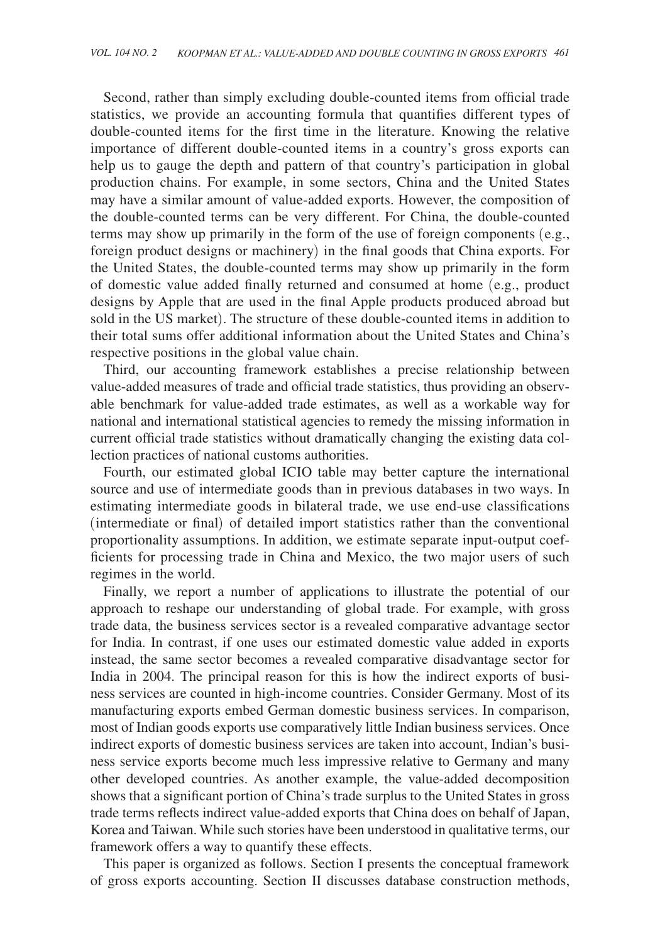Second, rather than simply excluding double-counted items from official trade statistics, we provide an accounting formula that quantifies different types of double-counted items for the first time in the literature. Knowing the relative importance of different double-counted items in a country's gross exports can help us to gauge the depth and pattern of that country's participation in global production chains. For example, in some sectors, China and the United States may have a similar amount of value-added exports. However, the composition of the double-counted terms can be very different. For China, the double-counted terms may show up primarily in the form of the use of foreign components (e.g., foreign product designs or machinery) in the final goods that China exports. For the United States, the double-counted terms may show up primarily in the form of domestic value added finally returned and consumed at home (e.g., product designs by Apple that are used in the final Apple products produced abroad but sold in the US market). The structure of these double-counted items in addition to their total sums offer additional information about the United States and China's respective positions in the global value chain.

Third, our accounting framework establishes a precise relationship between value-added measures of trade and official trade statistics, thus providing an observable benchmark for value-added trade estimates, as well as a workable way for national and international statistical agencies to remedy the missing information in current official trade statistics without dramatically changing the existing data collection practices of national customs authorities.

Fourth, our estimated global ICIO table may better capture the international source and use of intermediate goods than in previous databases in two ways. In estimating intermediate goods in bilateral trade, we use end-use classifications (intermediate or final) of detailed import statistics rather than the conventional proportionality assumptions. In addition, we estimate separate input-output coefficients for processing trade in China and Mexico, the two major users of such regimes in the world.

Finally, we report a number of applications to illustrate the potential of our approach to reshape our understanding of global trade. For example, with gross trade data, the business services sector is a revealed comparative advantage sector for India. In contrast, if one uses our estimated domestic value added in exports instead, the same sector becomes a revealed comparative disadvantage sector for India in 2004. The principal reason for this is how the indirect exports of business services are counted in high-income countries. Consider Germany. Most of its manufacturing exports embed German domestic business services. In comparison, most of Indian goods exports use comparatively little Indian business services. Once indirect exports of domestic business services are taken into account, Indian's business service exports become much less impressive relative to Germany and many other developed countries. As another example, the value-added decomposition shows that a significant portion of China's trade surplus to the United States in gross trade terms reflects indirect value-added exports that China does on behalf of Japan, Korea and Taiwan. While such stories have been understood in qualitative terms, our framework offers a way to quantify these effects.

This paper is organized as follows. Section I presents the conceptual framework of gross exports accounting. Section II discusses database construction methods,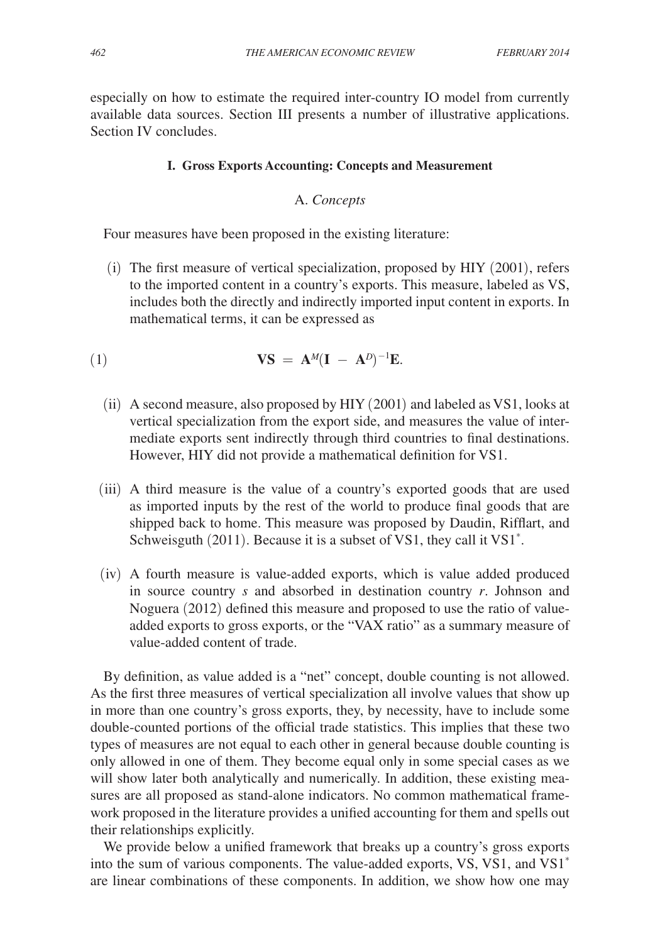especially on how to estimate the required inter-country IO model from currently available data sources. Section III presents a number of illustrative applications. Section IV concludes.

#### **I. Gross Exports Accounting: Concepts and Measurement**

## A. *Concepts*

Four measures have been proposed in the existing literature:

(i) The first measure of vertical specialization, proposed by HIY (2001), refers to the imported content in a country's exports. This measure, labeled as VS, includes both the directly and indirectly imported input content in exports. In mathematical terms, it can be expressed as

(1) 
$$
\mathbf{V}\mathbf{S} = \mathbf{A}^M(\mathbf{I} - \mathbf{A}^D)^{-1}\mathbf{E}.
$$

- (ii) A second measure, also proposed by HIY (2001) and labeled as VS1, looks at vertical specialization from the export side, and measures the value of intermediate exports sent indirectly through third countries to final destinations. However, HIY did not provide a mathematical definition for VS1.
- (iii) A third measure is the value of a country's exported goods that are used as imported inputs by the rest of the world to produce final goods that are shipped back to home. This measure was proposed by Daudin, Rifflart, and Schweisguth (2011). Because it is a subset of VS1, they call it VS1<sup>\*</sup>.
- (iv) A fourth measure is value-added exports, which is value added produced in source country *s* and absorbed in destination country *r*. Johnson and Noguera (2012) defined this measure and proposed to use the ratio of valueadded exports to gross exports, or the "VAX ratio" as a summary measure of value-added content of trade.

By definition, as value added is a "net" concept, double counting is not allowed. As the first three measures of vertical specialization all involve values that show up in more than one country's gross exports, they, by necessity, have to include some double-counted portions of the official trade statistics. This implies that these two types of measures are not equal to each other in general because double counting is only allowed in one of them. They become equal only in some special cases as we will show later both analytically and numerically. In addition, these existing measures are all proposed as stand-alone indicators. No common mathematical framework proposed in the literature provides a unified accounting for them and spells out their relationships explicitly.

We provide below a unified framework that breaks up a country's gross exports into the sum of various components. The value-added exports, VS, VS1, and VS1\* are linear combinations of these components. In addition, we show how one may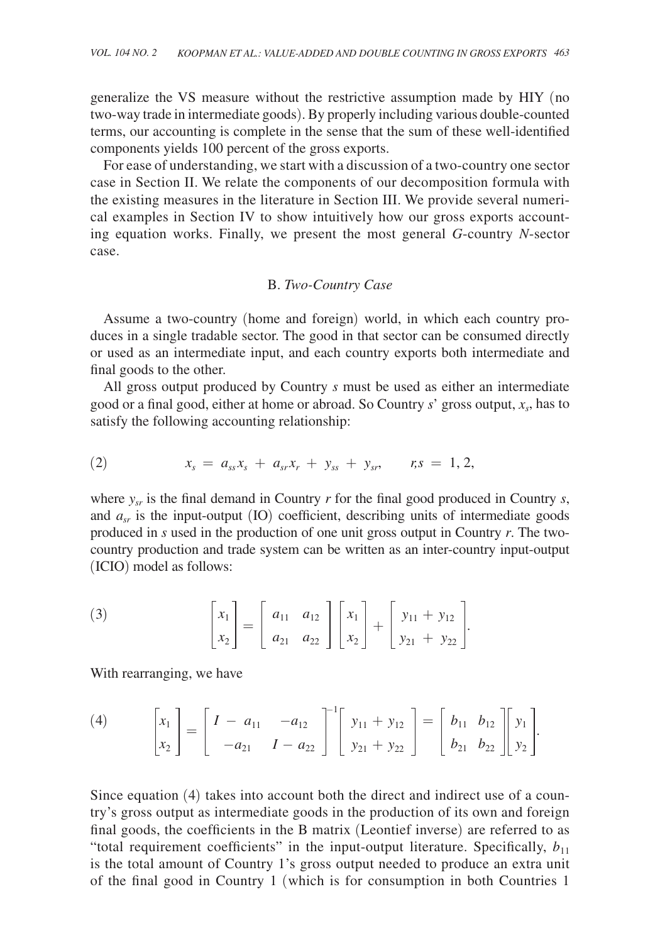generalize the VS measure without the restrictive assumption made by HIY (no two-way trade in intermediate goods). By properly including various double-counted terms, our accounting is complete in the sense that the sum of these well-identified components yields 100 percent of the gross exports.

For ease of understanding, we start with a discussion of a two-country one sector case in Section II. We relate the components of our decomposition formula with the existing measures in the literature in Section III. We provide several numerical examples in Section IV to show intuitively how our gross exports accounting equation works. Finally, we present the most general *G*-country *N*-sector case.

### B. *Two-Country Case*

Assume a two-country (home and foreign) world, in which each country produces in a single tradable sector. The good in that sector can be consumed directly or used as an intermediate input, and each country exports both intermediate and final goods to the other.

All gross output produced by Country *s* must be used as either an intermediate good or a final good, either at home or abroad. So Country *s*' gross output, *xs*, has to satisfy the following accounting relationship:

(2) 
$$
x_s = a_{ss}x_s + a_{sr}x_r + y_{ss} + y_{sr}, \qquad r,s = 1, 2,
$$

where  $y_{sr}$  is the final demand in Country  $r$  for the final good produced in Country  $s$ , and  $a_{sr}$  is the input-output (IO) coefficient, describing units of intermediate goods produced in *s* used in the production of one unit gross output in Country *r*. The twocountry production and trade system can be written as an inter-country input-output (ICIO) model as follows:

(3) 
$$
\begin{bmatrix} x_1 \\ x_2 \end{bmatrix} = \begin{bmatrix} a_{11} & a_{12} \\ a_{21} & a_{22} \end{bmatrix} \begin{bmatrix} x_1 \\ x_2 \end{bmatrix} + \begin{bmatrix} y_{11} + y_{12} \\ y_{21} + y_{22} \end{bmatrix}.
$$

With rearranging, we have

(4) 
$$
\begin{bmatrix} x_1 \\ x_2 \end{bmatrix} = \begin{bmatrix} I - a_{11} & -a_{12} \\ -a_{21} & I - a_{22} \end{bmatrix}^{-1} \begin{bmatrix} y_{11} + y_{12} \\ y_{21} + y_{22} \end{bmatrix} = \begin{bmatrix} b_{11} & b_{12} \\ b_{21} & b_{22} \end{bmatrix} \begin{bmatrix} y_1 \\ y_2 \end{bmatrix}.
$$

Since equation (4) takes into account both the direct and indirect use of a country's gross output as intermediate goods in the production of its own and foreign final goods, the coefficients in the B matrix (Leontief inverse) are referred to as "total requirement coefficients" in the input-output literature. Specifically,  $b_{11}$ is the total amount of Country 1's gross output needed to produce an extra unit of the final good in Country 1 (which is for consumption in both Countries 1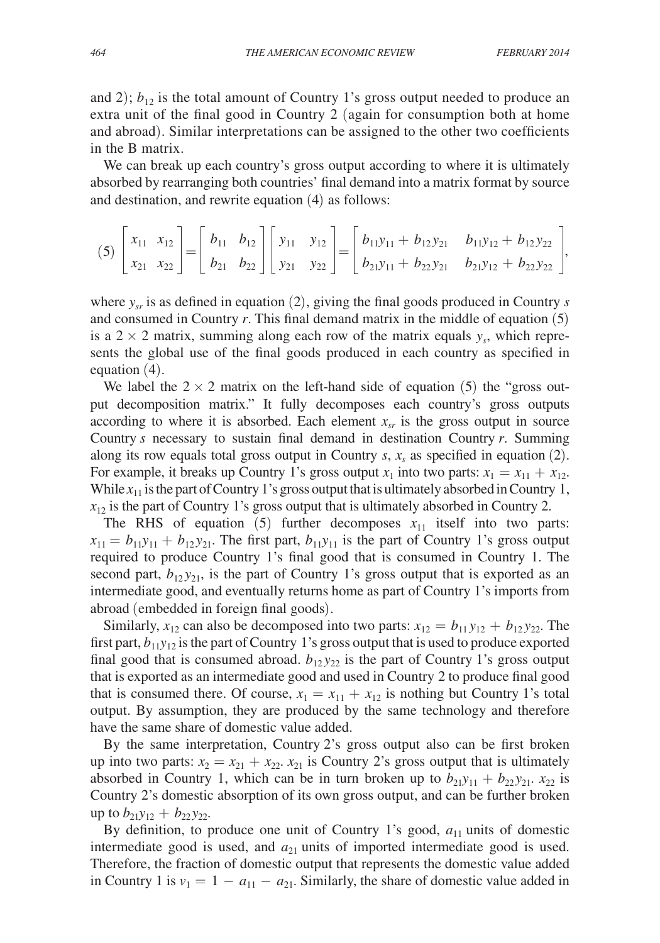and 2);  $b_{12}$  is the total amount of Country 1's gross output needed to produce an extra unit of the final good in Country 2 (again for consumption both at home and abroad). Similar interpretations can be assigned to the other two coefficients in the B matrix.

We can break up each country's gross output according to where it is ultimately absorbed by rearranging both countries' final demand into a matrix format by source and destination, and rewrite equation (4) as follows:

$$
(5)\begin{bmatrix} x_{11} & x_{12} \\ x_{21} & x_{22} \end{bmatrix} = \begin{bmatrix} b_{11} & b_{12} \\ b_{21} & b_{22} \end{bmatrix} \begin{bmatrix} y_{11} & y_{12} \\ y_{21} & y_{22} \end{bmatrix} = \begin{bmatrix} b_{11}y_{11} + b_{12}y_{21} & b_{11}y_{12} + b_{12}y_{22} \\ b_{21}y_{11} + b_{22}y_{21} & b_{21}y_{12} + b_{22}y_{22} \end{bmatrix},
$$

where *ysr* is as defined in equation (2), giving the final goods produced in Country *s* and consumed in Country *r*. This final demand matrix in the middle of equation (5) is a  $2 \times 2$  matrix, summing along each row of the matrix equals  $y_s$ , which represents the global use of the final goods produced in each country as specified in equation (4).

We label the  $2 \times 2$  matrix on the left-hand side of equation (5) the "gross output decomposition matrix." It fully decomposes each country's gross outputs according to where it is absorbed. Each element  $x<sub>cr</sub>$  is the gross output in source Country *s* necessary to sustain final demand in destination Country *r*. Summing along its row equals total gross output in Country  $s$ ,  $x<sub>s</sub>$  as specified in equation (2). For example, it breaks up Country 1's gross output  $x_1$  into two parts:  $x_1 = x_{11} + x_{12}$ . While  $x_{11}$  is the part of Country 1's gross output that is ultimately absorbed in Country 1,  $x_{12}$  is the part of Country 1's gross output that is ultimately absorbed in Country 2.

The RHS of equation  $(5)$  further decomposes  $x_{11}$  itself into two parts:  $x_{11} = b_{11}y_{11} + b_{12}y_{21}$ . The first part,  $b_{11}y_{11}$  is the part of Country 1's gross output required to produce Country 1's final good that is consumed in Country 1. The second part,  $b_{12}y_{21}$ , is the part of Country 1's gross output that is exported as an intermediate good, and eventually returns home as part of Country 1's imports from abroad (embedded in foreign final goods).

Similarly,  $x_{12}$  can also be decomposed into two parts:  $x_{12} = b_{11}y_{12} + b_{12}y_{22}$ . The first part,  $b_{11}y_{12}$  is the part of Country 1's gross output that is used to produce exported final good that is consumed abroad.  $b_{12}y_{22}$  is the part of Country 1's gross output that is exported as an intermediate good and used in Country 2 to produce final good that is consumed there. Of course,  $x_1 = x_{11} + x_{12}$  is nothing but Country 1's total output. By assumption, they are produced by the same technology and therefore have the same share of domestic value added.

By the same interpretation, Country 2's gross output also can be first broken up into two parts:  $x_2 = x_{21} + x_{22}$ .  $x_{21}$  is Country 2's gross output that is ultimately absorbed in Country 1, which can be in turn broken up to  $b_{21}y_{11} + b_{22}y_{21}$ .  $x_{22}$  is Country 2's domestic absorption of its own gross output, and can be further broken up to  $b_{21}y_{12} + b_{22}y_{22}$ .

By definition, to produce one unit of Country 1's good,  $a_{11}$  units of domestic intermediate good is used, and  $a_{21}$  units of imported intermediate good is used. Therefore, the fraction of domestic output that represents the domestic value added in Country 1 is  $v_1 = 1 - a_{11} - a_{21}$ . Similarly, the share of domestic value added in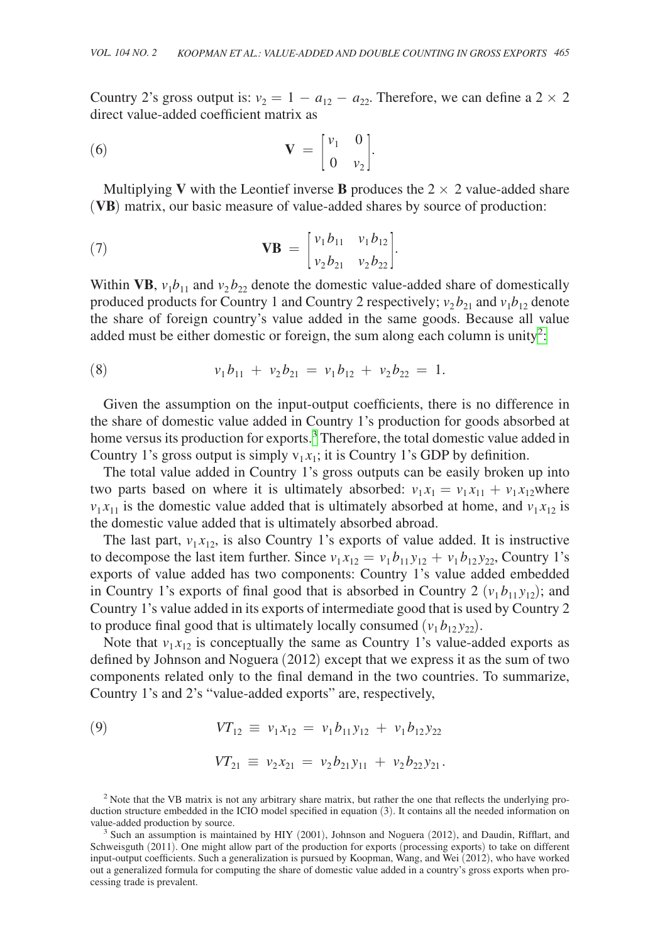Country 2's gross output is:  $v_2 = 1 - a_{12} - a_{22}$ . Therefore, we can define a 2 × 2 direct value-added coefficient matrix as

(6) 
$$
\mathbf{V} = \begin{bmatrix} v_1 & 0 \\ 0 & v_2 \end{bmatrix}.
$$

Multiplying **V** with the Leontief inverse **B** produces the  $2 \times 2$  value-added share (**VB**) matrix, our basic measure of value-added shares by source of production:

(7) 
$$
\mathbf{V}\mathbf{B} = \begin{bmatrix} v_1 b_{11} & v_1 b_{12} \\ v_2 b_{21} & v_2 b_{22} \end{bmatrix}.
$$

Within VB,  $v_1b_{11}$  and  $v_2b_{22}$  denote the domestic value-added share of domestically produced products for Country 1 and Country 2 respectively;  $v_2 b_{21}$  and  $v_1 b_{12}$  denote the share of foreign country's value added in the same goods. Because all value added must be either domestic or foreign, the sum along each column is unity<sup>2</sup>[:](#page-6-0)

(8) 
$$
v_1b_{11} + v_2b_{21} = v_1b_{12} + v_2b_{22} = 1.
$$

Given the assumption on the input-output coefficients, there is no difference in the share of domestic value added in Country 1's production for goods absorbed at home versus its production for exports.<sup>3</sup> Therefore, the total domestic value added in Country 1's gross output is simply  $v_1 x_1$ ; it is Country 1's GDP by definition.

The total value added in Country 1's gross outputs can be easily broken up into two parts based on where it is ultimately absorbed:  $v_1 x_1 = v_1 x_{11} + v_1 x_{12}$  where  $v_1 x_{11}$  is the domestic value added that is ultimately absorbed at home, and  $v_1 x_{12}$  is the domestic value added that is ultimately absorbed abroad.

The last part,  $v_1 x_{12}$ , is also Country 1's exports of value added. It is instructive to decompose the last item further. Since  $v_1 x_{12} = v_1 b_{11} y_{12} + v_1 b_{12} y_{22}$ , Country 1's exports of value added has two components: Country 1's value added embedded in Country 1's exports of final good that is absorbed in Country 2  $(v_1 b_{11} y_{12})$ ; and Country 1's value added in its exports of intermediate good that is used by Country 2 to produce final good that is ultimately locally consumed  $(v_1 b_{12} y_{22})$ .

Note that  $v_1 x_{12}$  is conceptually the same as Country 1's value-added exports as defined by Johnson and Noguera (2012) except that we express it as the sum of two components related only to the final demand in the two countries. To summarize, Country 1's and 2's "value-added exports" are, respectively,

(9) 
$$
VT_{12} \equiv v_1 x_{12} = v_1 b_{11} y_{12} + v_1 b_{12} y_{22}
$$

$$
VT_{21} \equiv v_2 x_{21} = v_2 b_{21} y_{11} + v_2 b_{22} y_{21}.
$$

<span id="page-6-0"></span><sup>&</sup>lt;sup>2</sup> Note that the VB matrix is not any arbitrary share matrix, but rather the one that reflects the underlying production structure embedded in the ICIO model specified in equation (3). It contains all the needed information on value-added production by source.

<span id="page-6-1"></span> $3$  Such an assumption is maintained by HIY (2001), Johnson and Noguera (2012), and Daudin, Rifflart, and Schweisguth (2011). One might allow part of the production for exports (processing exports) to take on different input-output coefficients. Such a generalization is pursued by Koopman, Wang, and Wei (2012), who have worked out a generalized formula for computing the share of domestic value added in a country's gross exports when processing trade is prevalent.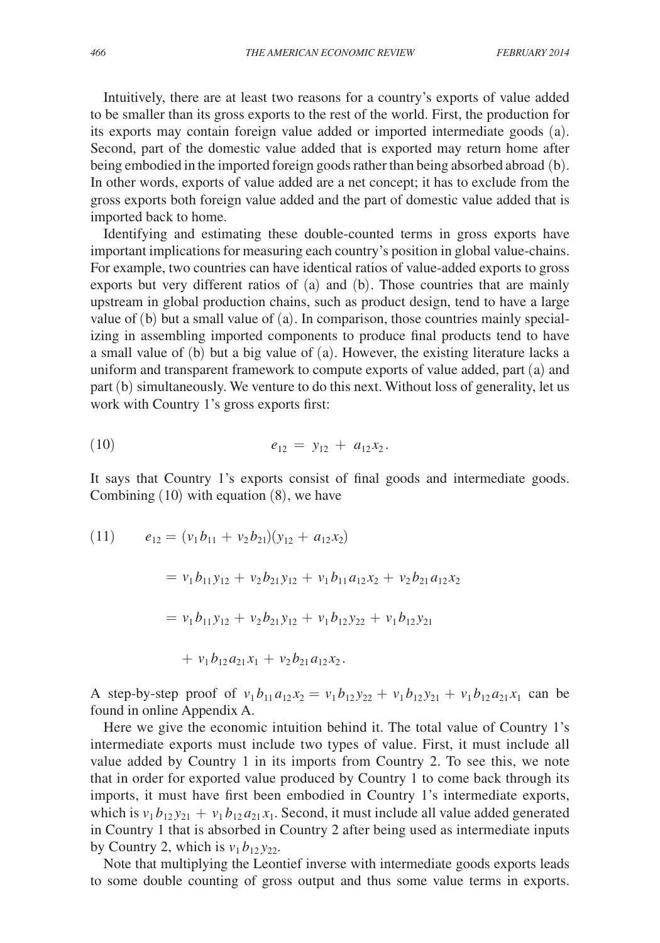Intuitively, there are at least two reasons for a country's exports of value added to be smaller than its gross exports to the rest of the world. First, the production for its exports may contain foreign value added or imported intermediate goods (a). Second, part of the domestic value added that is exported may return home after being embodied in the imported foreign goods rather than being absorbed abroad (b). In other words, exports of value added are a net concept; it has to exclude from the gross exports both foreign value added and the part of domestic value added that is imported back to home.

Identifying and estimating these double-counted terms in gross exports have important implications for measuring each country's position in global value-chains. For example, two countries can have identical ratios of value-added exports to gross exports but very different ratios of (a) and (b). Those countries that are mainly upstream in global production chains, such as product design, tend to have a large value of (b) but a small value of (a). In comparison, those countries mainly specializing in assembling imported components to produce final products tend to have a small value of (b) but a big value of (a). However, the existing literature lacks a uniform and transparent framework to compute exports of value added, part (a) and part (b) simultaneously. We venture to do this next. Without loss of generality, let us work with Country 1's gross exports first:

$$
e_{12} = y_{12} + a_{12}x_2.
$$

It says that Country 1's exports consist of final goods and intermediate goods. Combining  $(10)$  with equation  $(8)$ , we have

(11) 
$$
e_{12} = (v_1 b_{11} + v_2 b_{21})(y_{12} + a_{12} x_2)
$$

$$
= v_1 b_{11} y_{12} + v_2 b_{21} y_{12} + v_1 b_{11} a_{12} x_2 + v_2 b_{21} a_{12} x_2
$$

$$
= v_1 b_{11} y_{12} + v_2 b_{21} y_{12} + v_1 b_{12} y_{22} + v_1 b_{12} y_{21}
$$

$$
+ v_1 b_{12} a_{21} x_1 + v_2 b_{21} a_{12} x_2.
$$

A step-by-step proof of  $v_1 b_{11} a_{12} x_2 = v_1 b_{12} y_{22} + v_1 b_{12} y_{21} + v_1 b_{12} a_{21} x_1$  can be found in online Appendix A.

Here we give the economic intuition behind it. The total value of Country 1's intermediate exports must include two types of value. First, it must include all value added by Country 1 in its imports from Country 2. To see this, we note that in order for exported value produced by Country 1 to come back through its imports, it must have first been embodied in Country 1's intermediate exports, which is  $v_1 b_{12} y_{21} + v_1 b_{12} a_{21} x_1$ . Second, it must include all value added generated in Country 1 that is absorbed in Country 2 after being used as intermediate inputs by Country 2, which is  $v_1 b_{12} y_{22}$ .

Note that multiplying the Leontief inverse with intermediate goods exports leads to some double counting of gross output and thus some value terms in exports.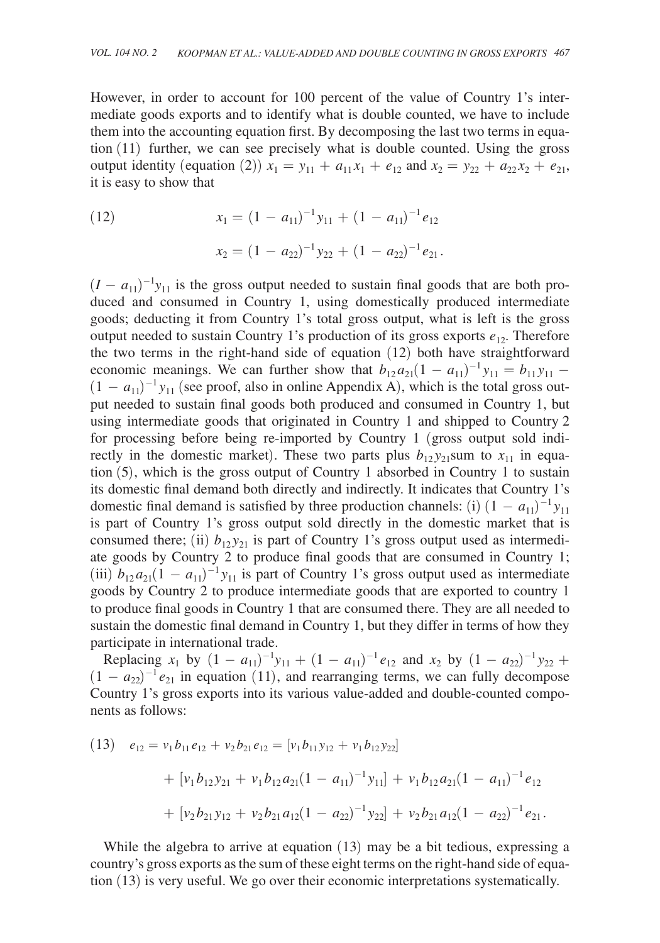However, in order to account for 100 percent of the value of Country 1's intermediate goods exports and to identify what is double counted, we have to include them into the accounting equation first. By decomposing the last two terms in equation (11) further, we can see precisely what is double counted. Using the gross output identity (equation (2))  $x_1 = y_{11} + a_{11}x_1 + e_{12}$  and  $x_2 = y_{22} + a_{22}x_2 + e_{21}$ , it is easy to show that

(12) 
$$
x_1 = (1 - a_{11})^{-1} y_{11} + (1 - a_{11})^{-1} e_{12}
$$

$$
x_2 = (1 - a_{22})^{-1} y_{22} + (1 - a_{22})^{-1} e_{21}.
$$

 $(I - a_{11})^{-1}$ y<sub>11</sub> is the gross output needed to sustain final goods that are both produced and consumed in Country 1, using domestically produced intermediate goods; deducting it from Country 1's total gross output, what is left is the gross output needed to sustain Country 1's production of its gross exports  $e_{12}$ . Therefore the two terms in the right-hand side of equation (12) both have straightforward economic meanings. We can further show that  $b_{12}a_{21}(1 - a_{11})^{-1}y_{11} = b_{11}y_{11} - a_{11}y_{11}$  $(1 - a_{11})^{-1}$  *y*<sub>11</sub> (see proof, also in online Appendix A), which is the total gross output needed to sustain final goods both produced and consumed in Country 1, but using intermediate goods that originated in Country 1 and shipped to Country 2 for processing before being re-imported by Country 1 (gross output sold indirectly in the domestic market). These two parts plus  $b_{12}y_{21}$ sum to  $x_{11}$  in equation (5), which is the gross output of Country 1 absorbed in Country 1 to sustain its domestic final demand both directly and indirectly. It indicates that Country 1's domestic final demand is satisfied by three production channels: (i)  $(1 - a_{11})^{-1}y_{11}$ is part of Country 1's gross output sold directly in the domestic market that is consumed there; (ii)  $b_{12}y_{21}$  is part of Country 1's gross output used as intermediate goods by Country 2 to produce final goods that are consumed in Country 1; (iii)  $b_{12}a_{21}(1 - a_{11})^{-1}y_{11}$  is part of Country 1's gross output used as intermediate goods by Country 2 to produce intermediate goods that are exported to country 1 to produce final goods in Country 1 that are consumed there. They are all needed to sustain the domestic final demand in Country 1, but they differ in terms of how they participate in international trade.

Replacing  $x_1$  by  $(1 - a_{11})^{-1}y_{11} + (1 - a_{11})^{-1}e_{12}$  and  $x_2$  by  $(1 - a_{22})^{-1}y_{22}$  +  $(1 - a_{22})^{-1} e_{21}$  in equation (11), and rearranging terms, we can fully decompose Country 1's gross exports into its various value-added and double-counted components as follows:

(13) 
$$
e_{12} = v_1 b_{11} e_{12} + v_2 b_{21} e_{12} = [v_1 b_{11} y_{12} + v_1 b_{12} y_{22}]
$$
  
  $+ [v_1 b_{12} y_{21} + v_1 b_{12} a_{21} (1 - a_{11})^{-1} y_{11}] + v_1 b_{12} a_{21} (1 - a_{11})^{-1} e_{12}$   
  $+ [v_2 b_{21} y_{12} + v_2 b_{21} a_{12} (1 - a_{22})^{-1} y_{22}] + v_2 b_{21} a_{12} (1 - a_{22})^{-1} e_{21}.$ 

While the algebra to arrive at equation (13) may be a bit tedious, expressing a country's gross exports as the sum of these eight terms on the right-hand side of equation (13) is very useful. We go over their economic interpretations systematically.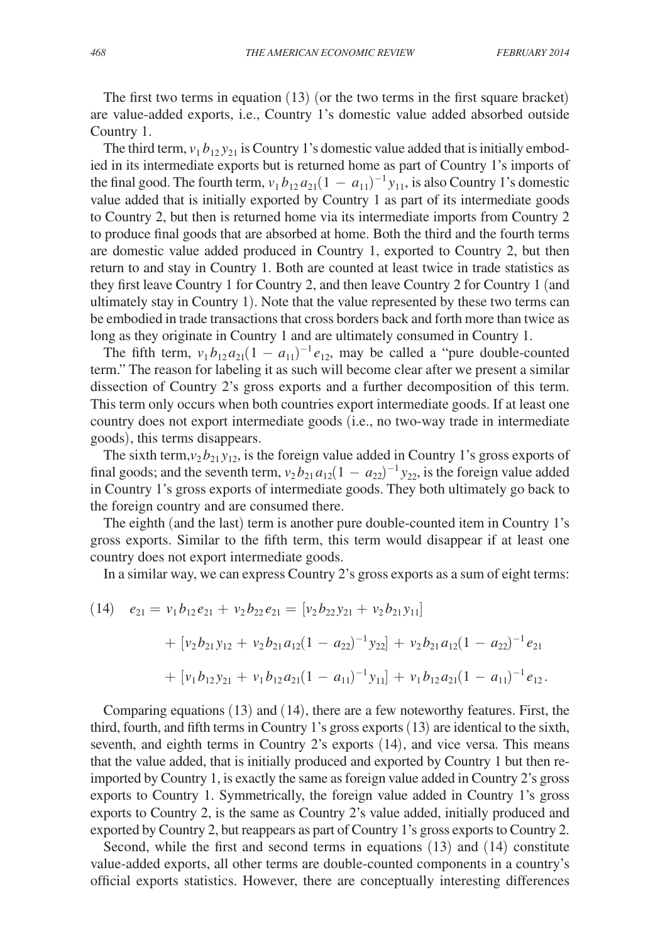The first two terms in equation  $(13)$  (or the two terms in the first square bracket) are value-added exports, i.e., Country 1's domestic value added absorbed outside Country 1.

The third term,  $v_1 b_{12} y_{21}$  is Country 1's domestic value added that is initially embodied in its intermediate exports but is returned home as part of Country 1's imports of the final good. The fourth term,  $v_1 b_{12} a_{21} (1 - a_{11})^{-1} y_{11}$ , is also Country 1's domestic value added that is initially exported by Country 1 as part of its intermediate goods to Country 2, but then is returned home via its intermediate imports from Country 2 to produce final goods that are absorbed at home. Both the third and the fourth terms are domestic value added produced in Country 1, exported to Country 2, but then return to and stay in Country 1. Both are counted at least twice in trade statistics as they first leave Country 1 for Country 2, and then leave Country 2 for Country 1 (and ultimately stay in Country 1). Note that the value represented by these two terms can be embodied in trade transactions that cross borders back and forth more than twice as long as they originate in Country 1 and are ultimately consumed in Country 1.

The fifth term,  $v_1 b_{12} a_{21} (1 - a_{11})^{-1} e_{12}$ , may be called a "pure double-counted" term." The reason for labeling it as such will become clear after we present a similar dissection of Country 2's gross exports and a further decomposition of this term. This term only occurs when both countries export intermediate goods. If at least one country does not export intermediate goods (i.e., no two-way trade in intermediate goods), this terms disappears.

The sixth term, $v_2 b_{21} y_{12}$ , is the foreign value added in Country 1's gross exports of final goods; and the seventh term,  $v_2 b_{21} a_{12} (1 - a_{22})^{-1} y_{22}$ , is the foreign value added in Country 1's gross exports of intermediate goods. They both ultimately go back to the foreign country and are consumed there.

The eighth (and the last) term is another pure double-counted item in Country 1's gross exports. Similar to the fifth term, this term would disappear if at least one country does not export intermediate goods.

In a similar way, we can express Country 2's gross exports as a sum of eight terms:

(14) 
$$
e_{21} = v_1 b_{12} e_{21} + v_2 b_{22} e_{21} = [v_2 b_{22} y_{21} + v_2 b_{21} y_{11}]
$$
  
+  $[v_2 b_{21} y_{12} + v_2 b_{21} a_{12} (1 - a_{22})^{-1} y_{22}] + v_2 b_{21} a_{12} (1 - a_{22})^{-1} e_{21}$   
+  $[v_1 b_{12} y_{21} + v_1 b_{12} a_{21} (1 - a_{11})^{-1} y_{11}] + v_1 b_{12} a_{21} (1 - a_{11})^{-1} e_{12}.$ 

Comparing equations (13) and (14), there are a few noteworthy features. First, the third, fourth, and fifth terms in Country 1's gross exports (13) are identical to the sixth, seventh, and eighth terms in Country 2's exports (14), and vice versa. This means that the value added, that is initially produced and exported by Country 1 but then reimported by Country 1, is exactly the same as foreign value added in Country 2's gross exports to Country 1. Symmetrically, the foreign value added in Country 1's gross exports to Country 2, is the same as Country 2's value added, initially produced and exported by Country 2, but reappears as part of Country 1's gross exports to Country 2.

Second, while the first and second terms in equations (13) and (14) constitute value-added exports, all other terms are double-counted components in a country's official exports statistics. However, there are conceptually interesting differences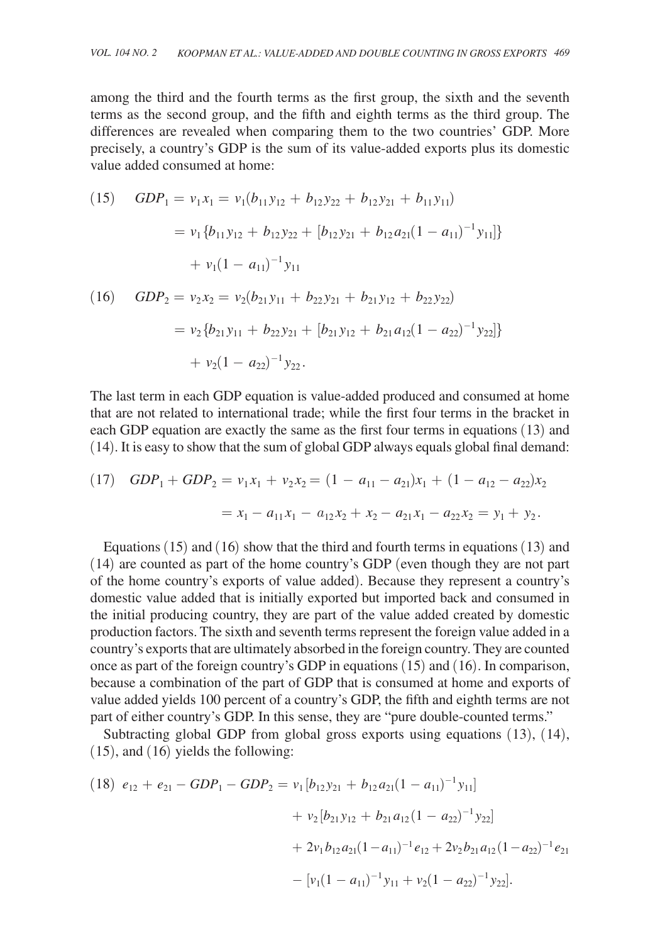among the third and the fourth terms as the first group, the sixth and the seventh terms as the second group, and the fifth and eighth terms as the third group. The differences are revealed when comparing them to the two countries' GDP. More precisely, a country's GDP is the sum of its value-added exports plus its domestic value added consumed at home:

(15) 
$$
GDP_1 = v_1x_1 = v_1(b_{11}y_{12} + b_{12}y_{22} + b_{12}y_{21} + b_{11}y_{11})
$$
  
\t\t\t $= v_1 \{b_{11}y_{12} + b_{12}y_{22} + [b_{12}y_{21} + b_{12}a_{21}(1 - a_{11})^{-1}y_{11}]\}$   
\t\t\t $+ v_1(1 - a_{11})^{-1}y_{11}$   
(16)  $GDP_2 = v_2x_2 = v_2(b_{21}y_{11} + b_{22}y_{21} + b_{21}y_{12} + b_{22}y_{22})$ 

$$
= v_2 \{b_{21}y_{11} + b_{22}y_{21} + [b_{21}y_{12} + b_{21}a_{12}(1 - a_{22})^{-1}y_{22}]\}
$$
  
+ 
$$
v_2(1 - a_{22})^{-1}y_{22}.
$$

The last term in each GDP equation is value-added produced and consumed at home that are not related to international trade; while the first four terms in the bracket in each GDP equation are exactly the same as the first four terms in equations (13) and (14). It is easy to show that the sum of global GDP always equals global final demand:

(17) 
$$
GDP_1 + GDP_2 = v_1x_1 + v_2x_2 = (1 - a_{11} - a_{21})x_1 + (1 - a_{12} - a_{22})x_2
$$
  
=  $x_1 - a_{11}x_1 - a_{12}x_2 + x_2 - a_{21}x_1 - a_{22}x_2 = y_1 + y_2$ .

Equations  $(15)$  and  $(16)$  show that the third and fourth terms in equations  $(13)$  and (14) are counted as part of the home country's GDP (even though they are not part of the home country's exports of value added). Because they represent a country's domestic value added that is initially exported but imported back and consumed in the initial producing country, they are part of the value added created by domestic production factors. The sixth and seventh terms represent the foreign value added in a country's exports that are ultimately absorbed in the foreign country. They are counted once as part of the foreign country's GDP in equations (15) and (16). In comparison, because a combination of the part of GDP that is consumed at home and exports of value added yields 100 percent of a country's GDP, the fifth and eighth terms are not part of either country's GDP. In this sense, they are "pure double-counted terms."

Subtracting global GDP from global gross exports using equations (13), (14), (15), and (16) yields the following:

$$
(18) \ e_{12} + e_{21} - GDP_1 - GDP_2 = v_1 [b_{12}y_{21} + b_{12}a_{21}(1 - a_{11})^{-1}y_{11}] + v_2 [b_{21}y_{12} + b_{21}a_{12}(1 - a_{22})^{-1}y_{22}] + 2v_1b_{12}a_{21}(1 - a_{11})^{-1}e_{12} + 2v_2b_{21}a_{12}(1 - a_{22})^{-1}e_{21} - [v_1(1 - a_{11})^{-1}y_{11} + v_2(1 - a_{22})^{-1}y_{22}].
$$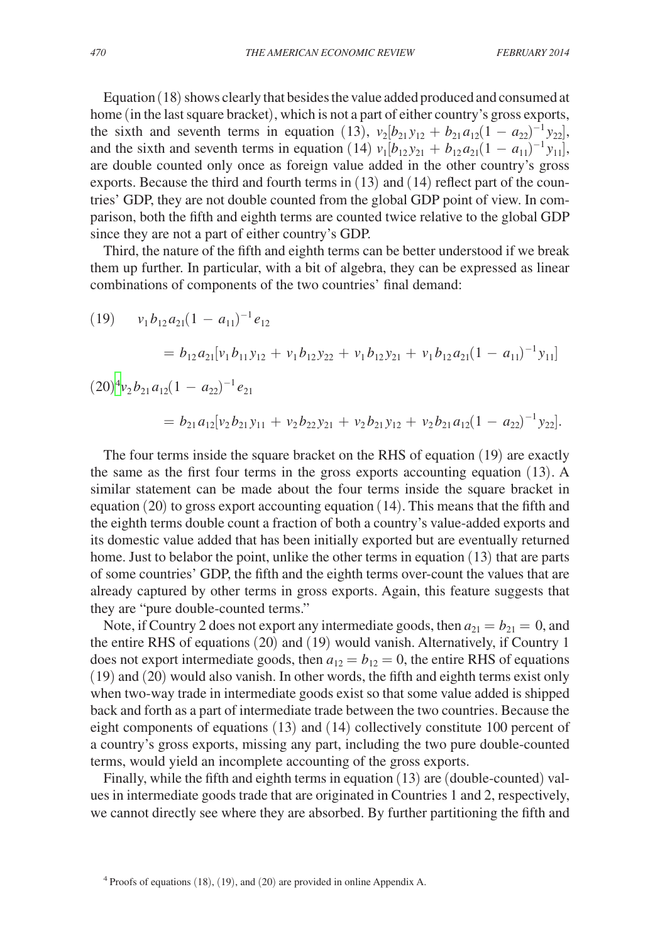Equation (18) shows clearly that besides the value added produced and consumed at home (in the last square bracket), which is not a part of either country's gross exports, the sixth and seventh terms in equation (13),  $v_2[b_{21}y_{12} + b_{21}a_{12}(1 - a_{22})^{-1}y_{22}]$ , and the sixth and seventh terms in equation (14)  $v_1[b_{12}y_{21} + b_{12}a_{21}(1 - a_{11})^{-1}y_{11}]$ , are double counted only once as foreign value added in the other country's gross exports. Because the third and fourth terms in (13) and (14) reflect part of the countries' GDP, they are not double counted from the global GDP point of view. In comparison, both the fifth and eighth terms are counted twice relative to the global GDP since they are not a part of either country's GDP.

Third, the nature of the fifth and eighth terms can be better understood if we break them up further. In particular, with a bit of algebra, they can be expressed as linear combinations of components of the two countries' final demand:

(19) 
$$
v_1 b_{12} a_{21} (1 - a_{11})^{-1} e_{12}
$$
  
\n
$$
= b_{12} a_{21} [v_1 b_{11} y_{12} + v_1 b_{12} y_{22} + v_1 b_{12} y_{21} + v_1 b_{12} a_{21} (1 - a_{11})^{-1} y_{11}]
$$
  
\n(20)<sup>4</sup> v<sub>2</sub> b<sub>21</sub> a<sub>12</sub> (1 - a<sub>22</sub>)<sup>-1</sup> e<sub>21</sub>  
\n
$$
= b_{21} a_{12} [v_2 b_{21} y_{11} + v_2 b_{22} y_{21} + v_2 b_{21} y_{12} + v_2 b_{21} a_{12} (1 - a_{22})^{-1} y_{22}].
$$

The four terms inside the square bracket on the RHS of equation (19) are exactly the same as the first four terms in the gross exports accounting equation (13). A similar statement can be made about the four terms inside the square bracket in equation (20) to gross export accounting equation (14). This means that the fifth and the eighth terms double count a fraction of both a country's value-added exports and its domestic value added that has been initially exported but are eventually returned home. Just to belabor the point, unlike the other terms in equation (13) that are parts of some countries' GDP, the fifth and the eighth terms over-count the values that are already captured by other terms in gross exports. Again, this feature suggests that they are "pure double-counted terms."

Note, if Country 2 does not export any intermediate goods, then  $a_{21} = b_{21} = 0$ , and the entire RHS of equations (20) and (19) would vanish. Alternatively, if Country 1 does not export intermediate goods, then  $a_{12} = b_{12} = 0$ , the entire RHS of equations (19) and (20) would also vanish. In other words, the fifth and eighth terms exist only when two-way trade in intermediate goods exist so that some value added is shipped back and forth as a part of intermediate trade between the two countries. Because the eight components of equations (13) and (14) collectively constitute 100 percent of a country's gross exports, missing any part, including the two pure double-counted terms, would yield an incomplete accounting of the gross exports.

Finally, while the fifth and eighth terms in equation (13) are (double-counted) values in intermediate goods trade that are originated in Countries 1 and 2, respectively, we cannot directly see where they are absorbed. By further partitioning the fifth and

<span id="page-11-0"></span> $4$  Proofs of equations (18), (19), and (20) are provided in online Appendix A.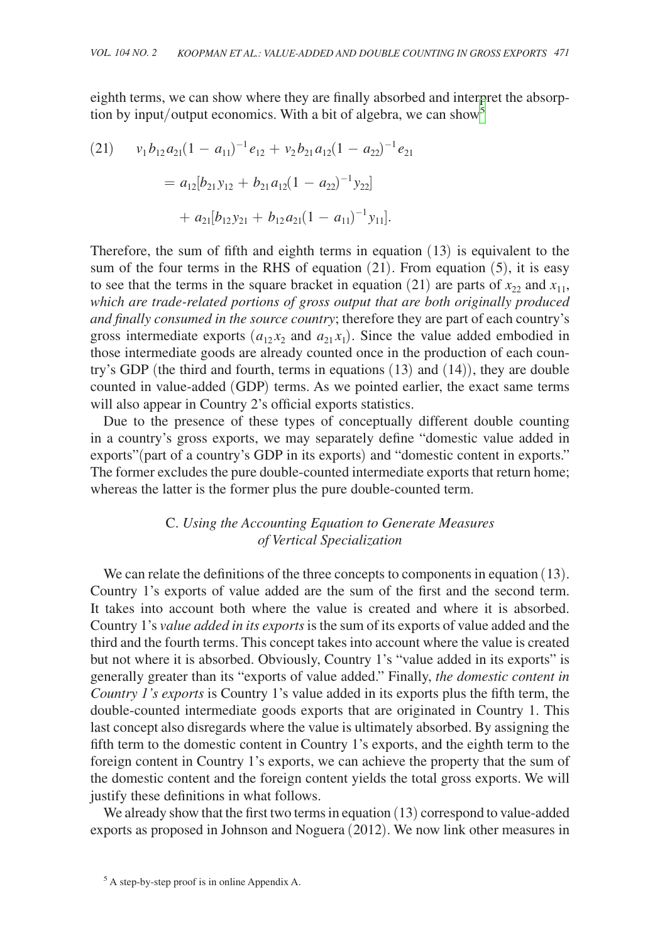eighth terms, we can show where they are finally absorbed and interpret the absorption by input/output economics. With a bit of algebra, we can show  $\overline{s}$ 

(21) 
$$
v_1 b_{12} a_{21} (1 - a_{11})^{-1} e_{12} + v_2 b_{21} a_{12} (1 - a_{22})^{-1} e_{21}
$$

$$
= a_{12} [b_{21} y_{12} + b_{21} a_{12} (1 - a_{22})^{-1} y_{22}]
$$

$$
+ a_{21} [b_{12} y_{21} + b_{12} a_{21} (1 - a_{11})^{-1} y_{11}].
$$

Therefore, the sum of fifth and eighth terms in equation (13) is equivalent to the sum of the four terms in the RHS of equation  $(21)$ . From equation  $(5)$ , it is easy to see that the terms in the square bracket in equation (21) are parts of  $x_{22}$  and  $x_{11}$ , *which are trade-related portions of gross output that are both originally produced and finally consumed in the source country*; therefore they are part of each country's gross intermediate exports  $(a_{12}x_2 \text{ and } a_{21}x_1)$ . Since the value added embodied in those intermediate goods are already counted once in the production of each country's GDP (the third and fourth, terms in equations (13) and (14)), they are double counted in value-added (GDP) terms. As we pointed earlier, the exact same terms will also appear in Country 2's official exports statistics.

Due to the presence of these types of conceptually different double counting in a country's gross exports, we may separately define "domestic value added in exports"(part of a country's GDP in its exports) and "domestic content in exports." The former excludes the pure double-counted intermediate exports that return home; whereas the latter is the former plus the pure double-counted term.

# C. *Using the Accounting Equation to Generate Measures of Vertical Specialization*

We can relate the definitions of the three concepts to components in equation (13). Country 1's exports of value added are the sum of the first and the second term. It takes into account both where the value is created and where it is absorbed. Country 1's *value added in its exports* is the sum of its exports of value added and the third and the fourth terms. This concept takes into account where the value is created but not where it is absorbed. Obviously, Country 1's "value added in its exports" is generally greater than its "exports of value added." Finally, *the domestic content in Country 1's exports* is Country 1's value added in its exports plus the fifth term, the double-counted intermediate goods exports that are originated in Country 1. This last concept also disregards where the value is ultimately absorbed. By assigning the fifth term to the domestic content in Country 1's exports, and the eighth term to the foreign content in Country 1's exports, we can achieve the property that the sum of the domestic content and the foreign content yields the total gross exports. We will justify these definitions in what follows.

We already show that the first two terms in equation (13) correspond to value-added exports as proposed in Johnson and Noguera (2012). We now link other measures in

<span id="page-12-0"></span><sup>5</sup> A step-by-step proof is in online Appendix A.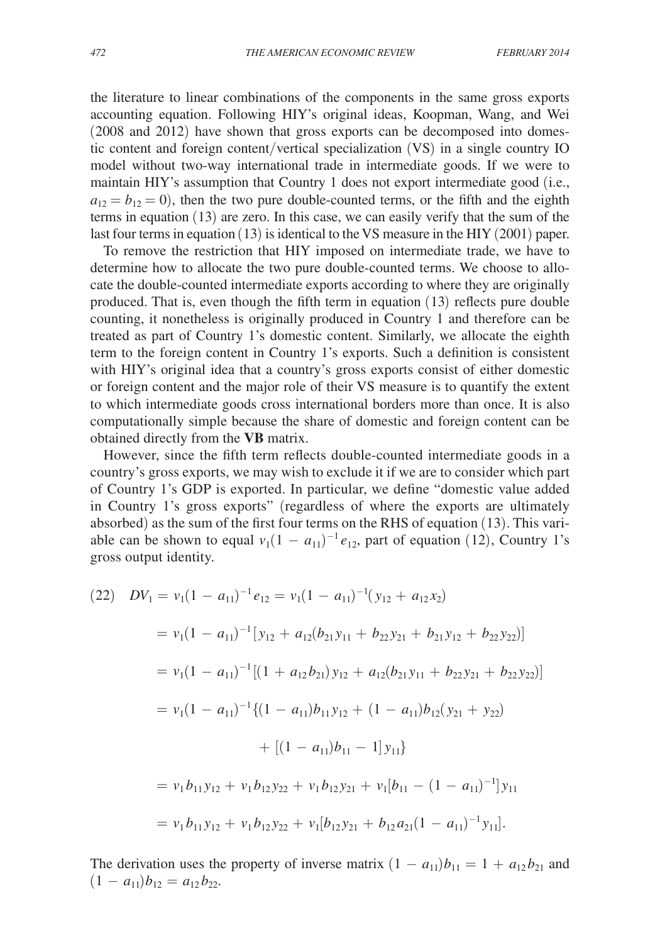the literature to linear combinations of the components in the same gross exports accounting equation. Following HIY's original ideas, Koopman, Wang, and Wei (2008 and 2012) have shown that gross exports can be decomposed into domestic content and foreign content/vertical specialization (VS) in a single country IO model without two-way international trade in intermediate goods. If we were to maintain HIY's assumption that Country 1 does not export intermediate good (i.e.,  $a_{12} = b_{12} = 0$ ), then the two pure double-counted terms, or the fifth and the eighth terms in equation (13) are zero. In this case, we can easily verify that the sum of the last four terms in equation (13) is identical to the VS measure in the HIY (2001) paper.

To remove the restriction that HIY imposed on intermediate trade, we have to determine how to allocate the two pure double-counted terms. We choose to allocate the double-counted intermediate exports according to where they are originally produced. That is, even though the fifth term in equation (13) reflects pure double counting, it nonetheless is originally produced in Country 1 and therefore can be treated as part of Country 1's domestic content. Similarly, we allocate the eighth term to the foreign content in Country 1's exports. Such a definition is consistent with HIY's original idea that a country's gross exports consist of either domestic or foreign content and the major role of their VS measure is to quantify the extent to which intermediate goods cross international borders more than once. It is also computationally simple because the share of domestic and foreign content can be obtained directly from the **VB** matrix.

However, since the fifth term reflects double-counted intermediate goods in a country's gross exports, we may wish to exclude it if we are to consider which part of Country 1's GDP is exported. In particular, we define "domestic value added in Country 1's gross exports" (regardless of where the exports are ultimately absorbed) as the sum of the first four terms on the RHS of equation (13). This variable can be shown to equal  $v_1(1 - a_{11})^{-1}e_{12}$ , part of equation (12), Country 1's gross output identity.

$$
(22) \quad DV_1 = v_1(1 - a_{11})^{-1}e_{12} = v_1(1 - a_{11})^{-1}(y_{12} + a_{12}x_2)
$$
  
\n
$$
= v_1(1 - a_{11})^{-1}[y_{12} + a_{12}(b_{21}y_{11} + b_{22}y_{21} + b_{21}y_{12} + b_{22}y_{22})]
$$
  
\n
$$
= v_1(1 - a_{11})^{-1}[(1 + a_{12}b_{21})y_{12} + a_{12}(b_{21}y_{11} + b_{22}y_{21} + b_{22}y_{22})]
$$
  
\n
$$
= v_1(1 - a_{11})^{-1}\{(1 - a_{11})b_{11}y_{12} + (1 - a_{11})b_{12}(y_{21} + y_{22})
$$
  
\n
$$
+ [(1 - a_{11})b_{11} - 1]y_{11}\}
$$
  
\n
$$
= v_1b_{11}y_{12} + v_1b_{12}y_{22} + v_1b_{12}y_{21} + v_1[b_{11} - (1 - a_{11})^{-1}]y_{11}
$$
  
\n
$$
= v_1b_{11}y_{12} + v_1b_{12}y_{22} + v_1[b_{12}y_{21} + b_{12}a_{21}(1 - a_{11})^{-1}y_{11}].
$$

The derivation uses the property of inverse matrix  $(1 - a_{11})b_{11} = 1 + a_{12}b_{21}$  and  $(1 - a_{11})b_{12} = a_{12}b_{22}.$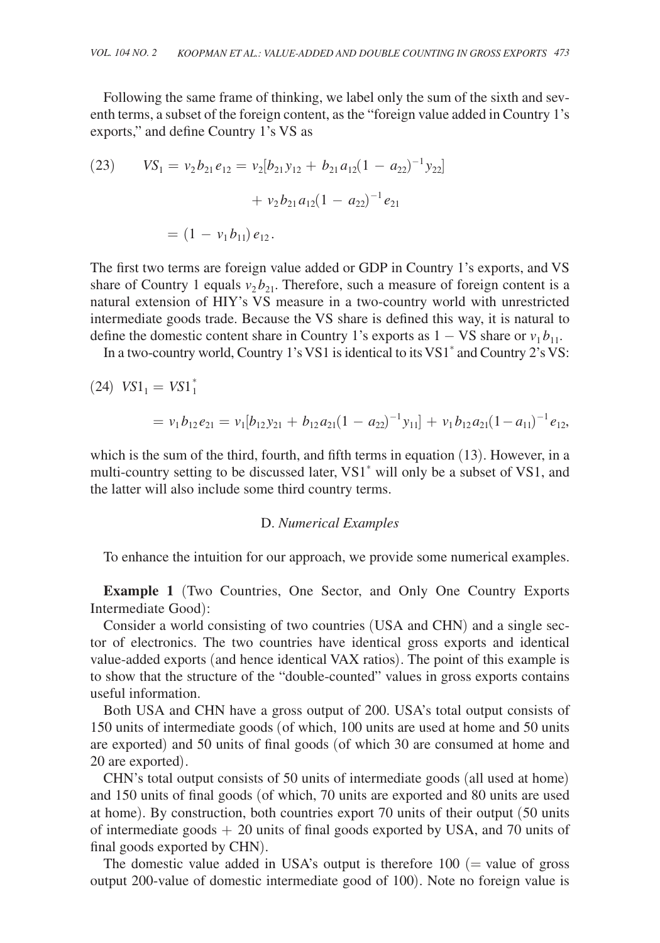Following the same frame of thinking, we label only the sum of the sixth and seventh terms, a subset of the foreign content, as the "foreign value added in Country 1's exports," and define Country 1's VS as

(23) 
$$
VS_1 = v_2 b_{21} e_{12} = v_2 [b_{21} y_{12} + b_{21} a_{12} (1 - a_{22})^{-1} y_{22}] + v_2 b_{21} a_{12} (1 - a_{22})^{-1} e_{21}
$$

$$
= (1 - v_1 b_{11}) e_{12}.
$$

The first two terms are foreign value added or GDP in Country 1's exports, and VS share of Country 1 equals  $v_2 b_{21}$ . Therefore, such a measure of foreign content is a natural extension of HIY's VS measure in a two-country world with unrestricted intermediate goods trade. Because the VS share is defined this way, it is natural to define the domestic content share in Country 1's exports as  $1 - VS$  share or  $v_1 b_{11}$ .

In a two-country world, Country 1's VS1 is identical to its VS1\* and Country 2's VS:

 $(24)$   $VSI_1 = VSI_1^*$  $= v_1 b_{12} e_{21} = v_1 [b_{12} y_{21} + b_{12} a_{21} (1 - a_{22})^{-1} y_{11}] + v_1 b_{12} a_{21} (1 - a_{11})^{-1} e_{12},$ 

which is the sum of the third, fourth, and fifth terms in equation (13). However, in a multi-country setting to be discussed later, VS1\* will only be a subset of VS1, and the latter will also include some third country terms.

## D. *Numerical Examples*

To enhance the intuition for our approach, we provide some numerical examples.

**Example 1** (Two Countries, One Sector, and Only One Country Exports Intermediate Good):

Consider a world consisting of two countries (USA and CHN) and a single sector of electronics. The two countries have identical gross exports and identical value-added exports (and hence identical VAX ratios). The point of this example is to show that the structure of the "double-counted" values in gross exports contains useful information.

Both USA and CHN have a gross output of 200. USA's total output consists of 150 units of intermediate goods (of which, 100 units are used at home and 50 units are exported) and 50 units of final goods (of which 30 are consumed at home and 20 are exported).

CHN's total output consists of 50 units of intermediate goods (all used at home) and 150 units of final goods (of which, 70 units are exported and 80 units are used at home). By construction, both countries export 70 units of their output (50 units of intermediate goods  $+ 20$  units of final goods exported by USA, and 70 units of final goods exported by CHN).

The domestic value added in USA's output is therefore  $100$  (= value of gross output 200-value of domestic intermediate good of 100). Note no foreign value is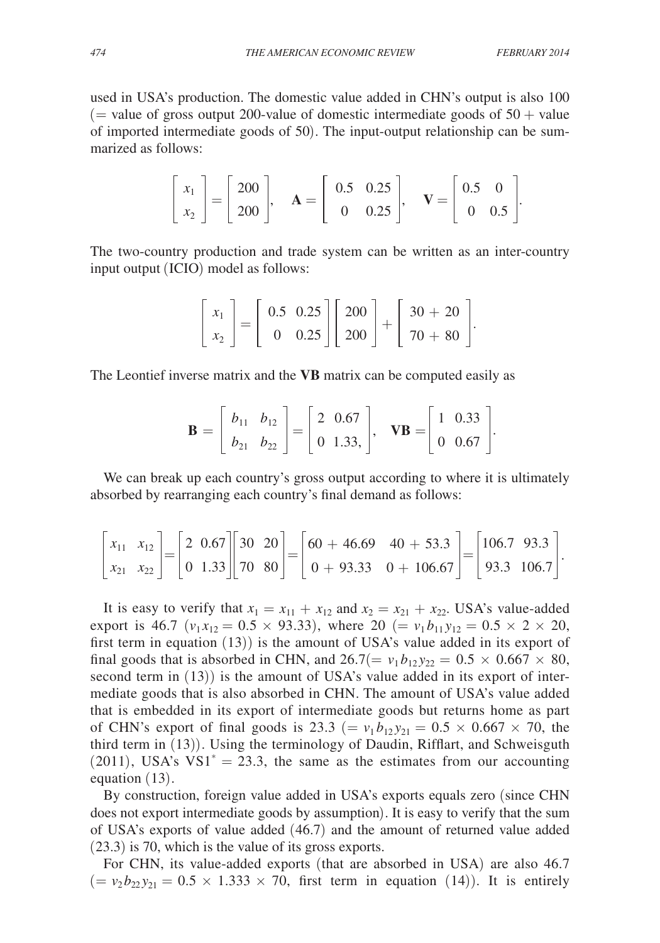used in USA's production. The domestic value added in CHN's output is also 100 ( $=$  value of gross output 200-value of domestic intermediate goods of  $50 +$  value of imported intermediate goods of 50). The input-output relationship can be summarized as follows:

$$
\begin{bmatrix} x_1 \\ x_2 \end{bmatrix} = \begin{bmatrix} 200 \\ 200 \end{bmatrix}, \quad \mathbf{A} = \begin{bmatrix} 0.5 & 0.25 \\ 0 & 0.25 \end{bmatrix}, \quad \mathbf{V} = \begin{bmatrix} 0.5 & 0 \\ 0 & 0.5 \end{bmatrix}.
$$

The two-country production and trade system can be written as an inter-country input output (ICIO) model as follows:

$$
\begin{bmatrix} x_1 \\ x_2 \end{bmatrix} = \begin{bmatrix} 0.5 & 0.25 \\ 0 & 0.25 \end{bmatrix} \begin{bmatrix} 200 \\ 200 \end{bmatrix} + \begin{bmatrix} 30 + 20 \\ 70 + 80 \end{bmatrix}.
$$

The Leontief inverse matrix and the **VB** matrix can be computed easily as

$$
\mathbf{B} = \left[ \begin{array}{cc} b_{11} & b_{12} \\ b_{21} & b_{22} \end{array} \right] = \left[ \begin{array}{cc} 2 & 0.67 \\ 0 & 1.33 \end{array} \right], \quad \mathbf{V} \mathbf{B} = \left[ \begin{array}{cc} 1 & 0.33 \\ 0 & 0.67 \end{array} \right].
$$

We can break up each country's gross output according to where it is ultimately absorbed by rearranging each country's final demand as follows:

$$
\begin{bmatrix} x_{11} & x_{12} \ x_{21} & x_{22} \end{bmatrix} = \begin{bmatrix} 2 & 0.67 \ 0 & 1.33 \end{bmatrix} \begin{bmatrix} 30 & 20 \ 70 & 80 \end{bmatrix} = \begin{bmatrix} 60 + 46.69 & 40 + 53.3 \ 0 + 93.33 & 0 + 106.67 \end{bmatrix} = \begin{bmatrix} 106.7 & 93.3 \ 93.3 & 106.7 \end{bmatrix}.
$$

It is easy to verify that  $x_1 = x_{11} + x_{12}$  and  $x_2 = x_{21} + x_{22}$ . USA's value-added export is 46.7 ( $v_1 x_{12} = 0.5 \times 93.33$ ), where 20 (=  $v_1 b_{11} y_{12} = 0.5 \times 2 \times 20$ , first term in equation (13)) is the amount of USA's value added in its export of final goods that is absorbed in CHN, and  $26.7(= v_1 b_{12} y_{22} = 0.5 \times 0.667 \times 80$ , second term in (13)) is the amount of USA's value added in its export of intermediate goods that is also absorbed in CHN. The amount of USA's value added that is embedded in its export of intermediate goods but returns home as part of CHN's export of final goods is 23.3 (=  $v_1 b_{12} y_{21} = 0.5 \times 0.667 \times 70$ , the third term in (13)). Using the terminology of Daudin, Rifflart, and Schweisguth (2011), USA's  $VS1^* = 23.3$ , the same as the estimates from our accounting equation (13).

By construction, foreign value added in USA's exports equals zero (since CHN does not export intermediate goods by assumption). It is easy to verify that the sum of USA's exports of value added (46.7) and the amount of returned value added (23.3) is 70, which is the value of its gross exports.

For CHN, its value-added exports (that are absorbed in USA) are also 46.7  $(= v_2 b_{22} y_{21} = 0.5 \times 1.333 \times 70$ , first term in equation (14)). It is entirely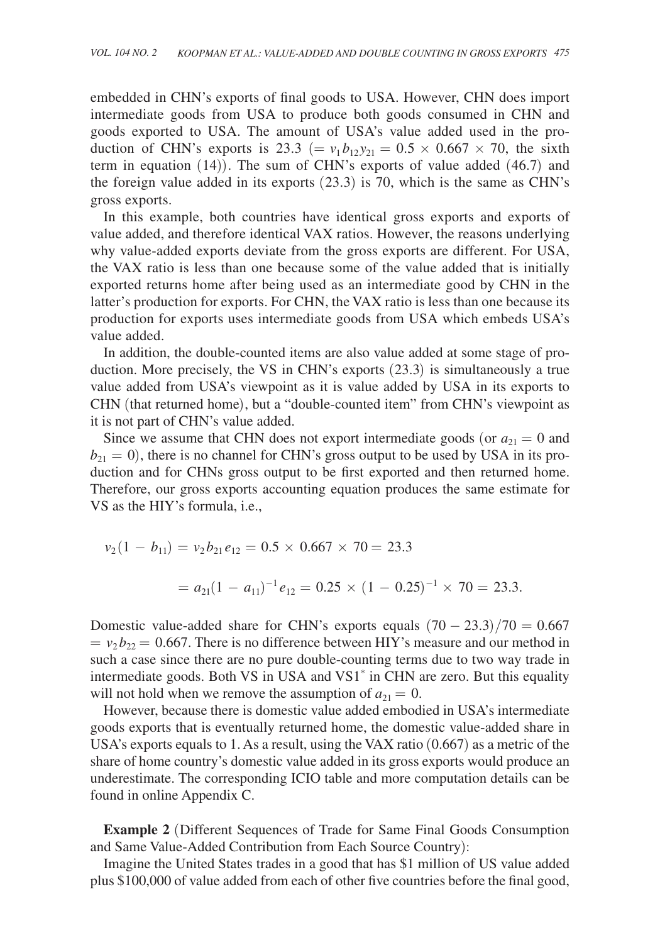embedded in CHN's exports of final goods to USA. However, CHN does import intermediate goods from USA to produce both goods consumed in CHN and goods exported to USA. The amount of USA's value added used in the production of CHN's exports is 23.3 ( $= v_1 b_{12} y_{21} = 0.5 \times 0.667 \times 70$ , the sixth term in equation (14)). The sum of CHN's exports of value added (46.7) and the foreign value added in its exports (23.3) is 70, which is the same as CHN's gross exports.

In this example, both countries have identical gross exports and exports of value added, and therefore identical VAX ratios. However, the reasons underlying why value-added exports deviate from the gross exports are different. For USA, the VAX ratio is less than one because some of the value added that is initially exported returns home after being used as an intermediate good by CHN in the latter's production for exports. For CHN, the VAX ratio is less than one because its production for exports uses intermediate goods from USA which embeds USA's value added.

In addition, the double-counted items are also value added at some stage of production. More precisely, the VS in CHN's exports (23.3) is simultaneously a true value added from USA's viewpoint as it is value added by USA in its exports to CHN (that returned home), but a "double-counted item" from CHN's viewpoint as it is not part of CHN's value added.

Since we assume that CHN does not export intermediate goods (or  $a_{21} = 0$  and  $b_{21} = 0$ ), there is no channel for CHN's gross output to be used by USA in its production and for CHNs gross output to be first exported and then returned home. Therefore, our gross exports accounting equation produces the same estimate for VS as the HIY's formula, i.e.,

$$
v_2(1 - b_{11}) = v_2 b_{21} e_{12} = 0.5 \times 0.667 \times 70 = 23.3
$$
  
=  $a_{21}(1 - a_{11})^{-1} e_{12} = 0.25 \times (1 - 0.25)^{-1} \times 70 = 23.3.$ 

Domestic value-added share for CHN's exports equals  $(70 - 23.3)/70 = 0.667$  $= v_2 b_{22} = 0.667$ . There is no difference between HIY's measure and our method in such a case since there are no pure double-counting terms due to two way trade in intermediate goods. Both VS in USA and VS1\* in CHN are zero. But this equality will not hold when we remove the assumption of  $a_{21} = 0$ .

However, because there is domestic value added embodied in USA's intermediate goods exports that is eventually returned home, the domestic value-added share in USA's exports equals to 1. As a result, using the VAX ratio (0.667) as a metric of the share of home country's domestic value added in its gross exports would produce an underestimate. The corresponding ICIO table and more computation details can be found in online Appendix C.

**Example 2** (Different Sequences of Trade for Same Final Goods Consumption and Same Value-Added Contribution from Each Source Country):

Imagine the United States trades in a good that has \$1 million of US value added plus \$100,000 of value added from each of other five countries before the final good,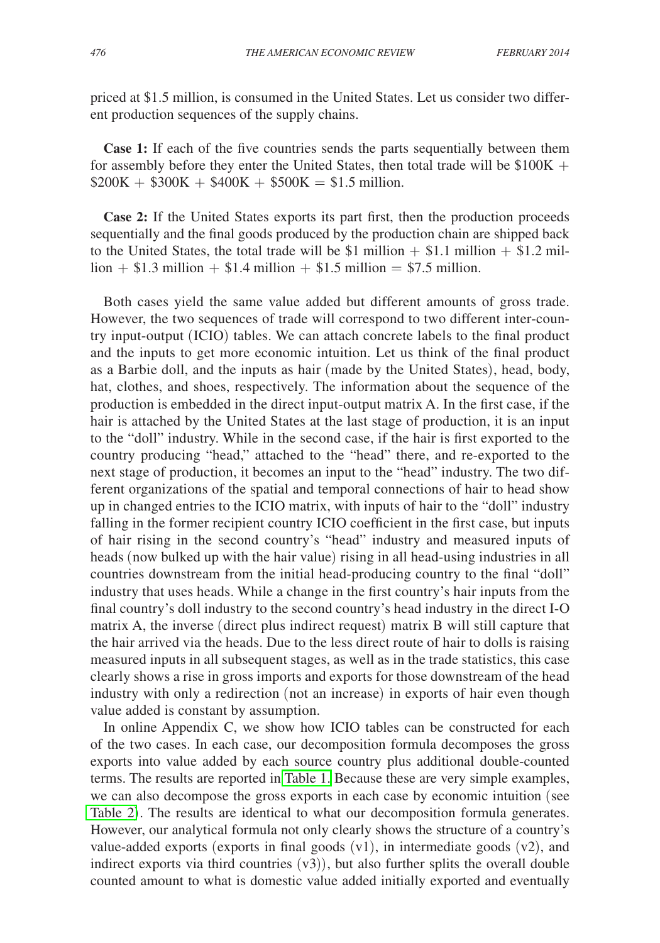priced at \$1.5 million, is consumed in the United States. Let us consider two different production sequences of the supply chains.

**Case 1:** If each of the five countries sends the parts sequentially between them for assembly before they enter the United States, then total trade will be  $$100K +$  $$200K + $300K + $400K + $500K = $1.5$  million.

**Case 2:** If the United States exports its part first, then the production proceeds sequentially and the final goods produced by the production chain are shipped back to the United States, the total trade will be \$1 million  $+$  \$1.1 million  $+$  \$1.2 mil- $\text{lion} + \$1.3 \text{ million} + \$1.4 \text{ million} + \$1.5 \text{ million} = \$7.5 \text{ million}.$ 

Both cases yield the same value added but different amounts of gross trade. However, the two sequences of trade will correspond to two different inter-country input-output (ICIO) tables. We can attach concrete labels to the final product and the inputs to get more economic intuition. Let us think of the final product as a Barbie doll, and the inputs as hair (made by the United States), head, body, hat, clothes, and shoes, respectively. The information about the sequence of the production is embedded in the direct input-output matrix A. In the first case, if the hair is attached by the United States at the last stage of production, it is an input to the "doll" industry. While in the second case, if the hair is first exported to the country producing "head," attached to the "head" there, and re-exported to the next stage of production, it becomes an input to the "head" industry. The two different organizations of the spatial and temporal connections of hair to head show up in changed entries to the ICIO matrix, with inputs of hair to the "doll" industry falling in the former recipient country ICIO coefficient in the first case, but inputs of hair rising in the second country's "head" industry and measured inputs of heads (now bulked up with the hair value) rising in all head-using industries in all countries downstream from the initial head-producing country to the final "doll" industry that uses heads. While a change in the first country's hair inputs from the final country's doll industry to the second country's head industry in the direct I-O matrix A, the inverse (direct plus indirect request) matrix B will still capture that the hair arrived via the heads. Due to the less direct route of hair to dolls is raising measured inputs in all subsequent stages, as well as in the trade statistics, this case clearly shows a rise in gross imports and exports for those downstream of the head industry with only a redirection (not an increase) in exports of hair even though value added is constant by assumption.

In online Appendix C, we show how ICIO tables can be constructed for each of the two cases. In each case, our decomposition formula decomposes the gross exports into value added by each source country plus additional double-counted terms. The results are reported in [Table 1.](#page-18-0) Because these are very simple examples, we can also decompose the gross exports in each case by economic intuition (see [Table 2](#page-18-0)). The results are identical to what our decomposition formula generates. However, our analytical formula not only clearly shows the structure of a country's value-added exports (exports in final goods  $(v1)$ , in intermediate goods  $(v2)$ , and indirect exports via third countries  $(v3)$ ), but also further splits the overall double counted amount to what is domestic value added initially exported and eventually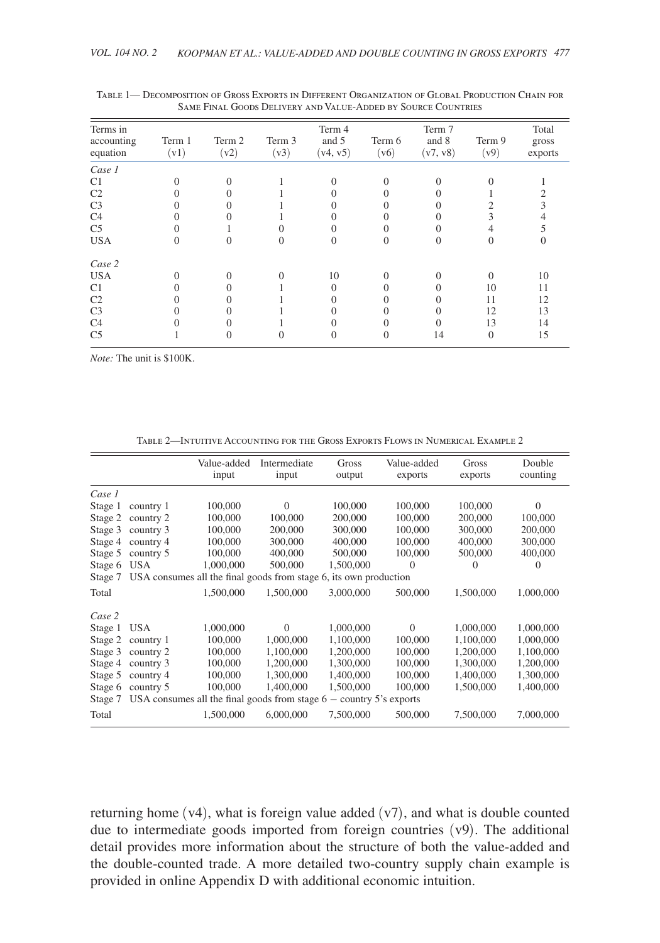| Terms in               |                |                |                | Term 4            |                | Term 7            |                | Total            |
|------------------------|----------------|----------------|----------------|-------------------|----------------|-------------------|----------------|------------------|
| accounting<br>equation | Term 1<br>(v1) | Term 2<br>(v2) | Term 3<br>(v3) | and 5<br>(v4, v5) | Term 6<br>(v6) | and 8<br>(v7, v8) | Term 9<br>(v9) | gross<br>exports |
| Case 1                 |                |                |                |                   |                |                   |                |                  |
| C <sub>1</sub>         |                |                |                |                   |                |                   |                |                  |
| C <sub>2</sub>         |                |                |                |                   |                |                   |                |                  |
| C <sub>3</sub>         |                |                |                |                   |                |                   |                |                  |
| C4                     |                |                |                |                   |                |                   |                |                  |
| C <sub>5</sub>         |                |                |                |                   |                |                   |                |                  |
| <b>USA</b>             |                |                |                |                   |                |                   |                |                  |
| Case 2                 |                |                |                |                   |                |                   |                |                  |
| <b>USA</b>             |                |                |                | 10                |                |                   | $\Omega$       | 10               |
| C <sub>1</sub>         |                |                |                | 0                 |                |                   | 10             | 11               |
| C <sub>2</sub>         |                |                |                |                   |                |                   | 11             | 12               |
| C <sub>3</sub>         |                |                |                |                   |                |                   | 12             | 13               |
| C4                     |                |                |                |                   |                |                   | 13             | 14               |
| C <sub>5</sub>         |                |                |                |                   |                | 14                | $\Omega$       | 15               |

<span id="page-18-0"></span>Table 1— Decomposition of Gross Exports in Different Organization of Global Production Chain for Same Final Goods Delivery and Value-Added by Source Countries

*Note:* The unit is \$100K.

Table 2—Intuitive Accounting for the Gross Exports Flows in Numerical Example 2

|         |                                                                       | Value-added | Intermediate | Gross     | Value-added | Gross     | Double    |  |  |  |
|---------|-----------------------------------------------------------------------|-------------|--------------|-----------|-------------|-----------|-----------|--|--|--|
|         |                                                                       | input       | input        | output    | exports     | exports   | counting  |  |  |  |
|         |                                                                       |             |              |           |             |           |           |  |  |  |
| Case 1  |                                                                       |             |              |           |             |           |           |  |  |  |
| Stage 1 | country 1                                                             | 100,000     | $\Omega$     | 100,000   | 100,000     | 100,000   | $\Omega$  |  |  |  |
| Stage 2 | country 2                                                             | 100,000     | 100,000      | 200,000   | 100,000     | 200,000   | 100,000   |  |  |  |
| Stage 3 | country 3                                                             | 100,000     | 200,000      | 300,000   | 100,000     | 300,000   | 200,000   |  |  |  |
| Stage 4 | country 4                                                             | 100,000     | 300,000      | 400,000   | 100,000     | 400,000   | 300,000   |  |  |  |
| Stage 5 | country 5                                                             | 100,000     | 400,000      | 500,000   | 100,000     | 500,000   | 400,000   |  |  |  |
| Stage 6 | <b>USA</b>                                                            | 1,000,000   | 500,000      | 1,500,000 | $\Omega$    | $\theta$  | $\theta$  |  |  |  |
| Stage 7 | USA consumes all the final goods from stage 6, its own production     |             |              |           |             |           |           |  |  |  |
| Total   |                                                                       | 1,500,000   | 1,500,000    | 3,000,000 | 500,000     | 1,500,000 | 1,000,000 |  |  |  |
| Case 2  |                                                                       |             |              |           |             |           |           |  |  |  |
| Stage 1 | USA                                                                   | 1,000,000   | $\Omega$     | 1,000,000 | $\Omega$    | 1,000,000 | 1,000,000 |  |  |  |
| Stage 2 | country 1                                                             | 100,000     | 1,000,000    | 1,100,000 | 100,000     | 1,100,000 | 1,000,000 |  |  |  |
| Stage 3 | country 2                                                             | 100,000     | 1,100,000    | 1,200,000 | 100,000     | 1,200,000 | 1,100,000 |  |  |  |
| Stage 4 | country 3                                                             | 100,000     | 1,200,000    | 1,300,000 | 100,000     | 1,300,000 | 1,200,000 |  |  |  |
| Stage 5 | country 4                                                             | 100,000     | 1,300,000    | 1,400,000 | 100,000     | 1,400,000 | 1,300,000 |  |  |  |
| Stage 6 | country 5                                                             | 100,000     | 1,400,000    | 1,500,000 | 100,000     | 1,500,000 | 1,400,000 |  |  |  |
| Stage 7 | USA consumes all the final goods from stage $6$ – country 5's exports |             |              |           |             |           |           |  |  |  |
| Total   |                                                                       | 1,500,000   | 6,000,000    | 7,500,000 | 500,000     | 7,500,000 | 7,000,000 |  |  |  |

returning home  $(v4)$ , what is foreign value added  $(v7)$ , and what is double counted due to intermediate goods imported from foreign countries (v9). The additional detail provides more information about the structure of both the value-added and the double-counted trade. A more detailed two-country supply chain example is provided in online Appendix D with additional economic intuition.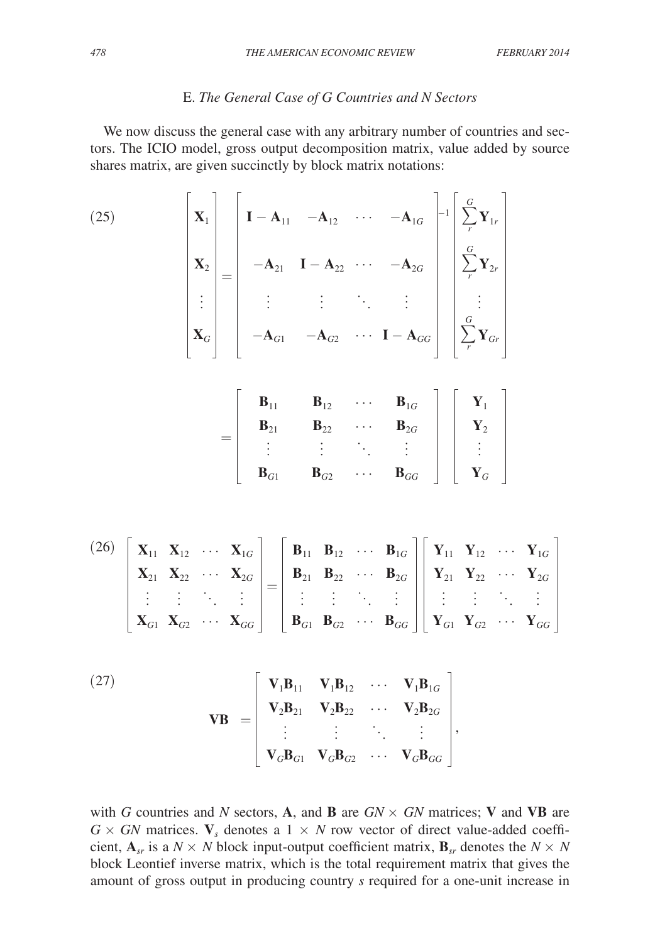## E. *The General Case of G Countries and N Sectors*

We now discuss the general case with any arbitrary number of countries and sectors. The ICIO model, gross output decomposition matrix, value added by source shares matrix, are given succinctly by block matrix notations:

(25)
$$
\begin{bmatrix}\n\mathbf{X}_1 \\
\mathbf{X}_2 \\
\vdots \\
\mathbf{X}_G\n\end{bmatrix} = \begin{bmatrix}\n\mathbf{I} - \mathbf{A}_{11} & -\mathbf{A}_{12} & \cdots & -\mathbf{A}_{1G} \\
-\mathbf{A}_{21} & \mathbf{I} - \mathbf{A}_{22} & \cdots & -\mathbf{A}_{2G} \\
\vdots & \vdots & \vdots & \ddots & \vdots \\
-\mathbf{A}_{G1} & -\mathbf{A}_{G2} & \cdots & \mathbf{I} - \mathbf{A}_{GG}\n\end{bmatrix} \begin{bmatrix}\n\mathbf{G} \\
\sum_{r}^{G} \mathbf{Y}_{2r} \\
\vdots \\
\sum_{r}^{G} \mathbf{Y}_{Gr}\n\end{bmatrix}
$$
\n
$$
= \begin{bmatrix}\n\mathbf{B}_{11} & \mathbf{B}_{12} & \cdots & \mathbf{B}_{1G} \\
\mathbf{B}_{21} & \mathbf{B}_{22} & \cdots & \mathbf{B}_{2G} \\
\vdots & \vdots & \ddots & \vdots \\
\mathbf{B}_{G1} & \mathbf{B}_{G2} & \cdots & \mathbf{B}_{GG}\n\end{bmatrix} \begin{bmatrix}\n\mathbf{Y}_1 \\
\mathbf{Y}_2 \\
\vdots \\
\mathbf{Y}_G\n\end{bmatrix}
$$

(26) 
$$
\begin{bmatrix} \mathbf{X}_{11} & \mathbf{X}_{12} & \cdots & \mathbf{X}_{1G} \\ \mathbf{X}_{21} & \mathbf{X}_{22} & \cdots & \mathbf{X}_{2G} \\ \vdots & \vdots & \ddots & \vdots \\ \mathbf{X}_{G1} & \mathbf{X}_{G2} & \cdots & \mathbf{X}_{GG} \end{bmatrix} = \begin{bmatrix} \mathbf{B}_{11} & \mathbf{B}_{12} & \cdots & \mathbf{B}_{1G} \\ \mathbf{B}_{21} & \mathbf{B}_{22} & \cdots & \mathbf{B}_{2G} \\ \vdots & \vdots & \ddots & \vdots \\ \mathbf{B}_{G1} & \mathbf{B}_{G2} & \cdots & \mathbf{B}_{GG} \end{bmatrix} \begin{bmatrix} \mathbf{Y}_{11} & \mathbf{Y}_{12} & \cdots & \mathbf{Y}_{1G} \\ \mathbf{Y}_{21} & \mathbf{Y}_{22} & \cdots & \mathbf{Y}_{2G} \\ \vdots & \vdots & \ddots & \vdots \\ \mathbf{Y}_{G1} & \mathbf{Y}_{G2} & \cdots & \mathbf{Y}_{GG} \end{bmatrix}
$$

(27)  
\n
$$
\mathbf{V}_{B} = \begin{bmatrix}\n\mathbf{V}_{1}\mathbf{B}_{11} & \mathbf{V}_{1}\mathbf{B}_{12} & \cdots & \mathbf{V}_{1}\mathbf{B}_{1G} \\
\mathbf{V}_{2}\mathbf{B}_{21} & \mathbf{V}_{2}\mathbf{B}_{22} & \cdots & \mathbf{V}_{2}\mathbf{B}_{2G} \\
\vdots & \vdots & \ddots & \vdots \\
\mathbf{V}_{G}\mathbf{B}_{G1} & \mathbf{V}_{G}\mathbf{B}_{G2} & \cdots & \mathbf{V}_{G}\mathbf{B}_{GG}\n\end{bmatrix},
$$

with *G* countries and *N* sectors, **A**, and **B** are  $GN \times GN$  matrices; **V** and **VB** are  $G \times GN$  matrices. **V**<sub>s</sub> denotes a 1  $\times$  *N* row vector of direct value-added coefficient,  $A_{sr}$  is a  $N \times N$  block input-output coefficient matrix,  $B_{sr}$  denotes the  $N \times N$ block Leontief inverse matrix, which is the total requirement matrix that gives the amount of gross output in producing country *s* required for a one-unit increase in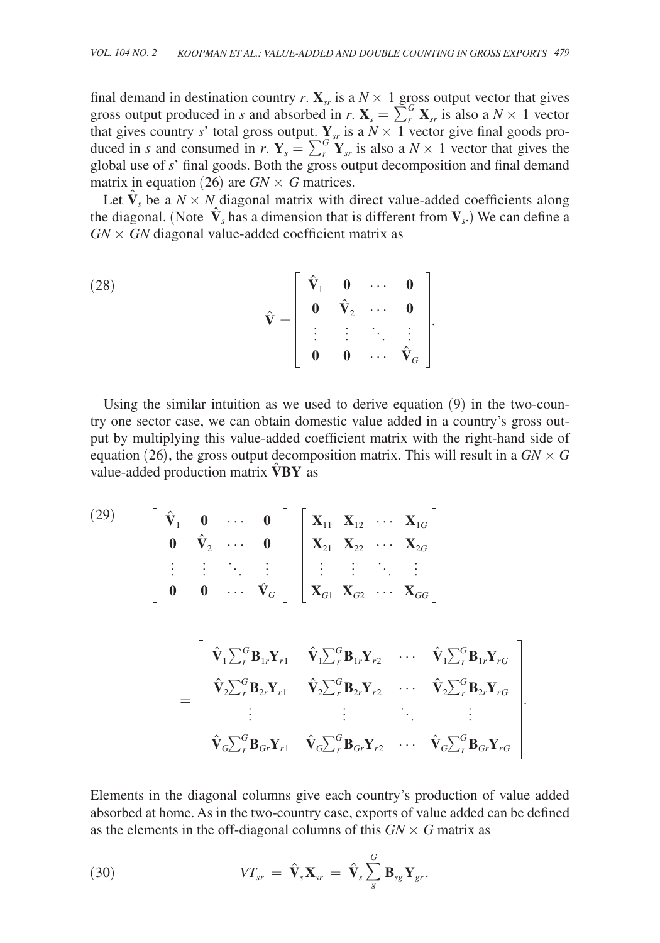final demand in destination country *r*.  $\mathbf{X}_{sr}$  is a  $N \times 1$  gross output vector that gives gross output produced in *s* and absorbed in *r*.  $\mathbf{X}_s = \sum_{r}^{G} \mathbf{X}_{sr}$  is also a  $N \times 1$  vector that gives country *s*' total gross output.  $Y_{sr}$  is a  $N \times 1$  vector give final goods produced in *s* and consumed in *r*.  $\mathbf{Y}_s = \sum_{r}^{G} \mathbf{Y}_{sr}$  is also a  $N \times 1$  vector that gives the global use of *s*' final goods. Both the gross output decomposition and final demand matrix in equation (26) are  $GN \times G$  matrices.

Let  $\hat{\mathbf{V}}_s$  be a  $N \times N$  diagonal matrix with direct value-added coefficients along the diagonal. (Note  $\hat{\mathbf{V}}_s$  has a dimension that is different from  $\mathbf{V}_s$ .) We can define a  $GN \times GN$  diagonal value-added coefficient matrix as

(28) 
$$
\hat{\mathbf{V}} = \begin{bmatrix} \hat{\mathbf{V}}_1 & \mathbf{0} & \cdots & \mathbf{0} \\ \mathbf{0} & \hat{\mathbf{V}}_2 & \cdots & \mathbf{0} \\ \vdots & \vdots & \ddots & \vdots \\ \mathbf{0} & \mathbf{0} & \cdots & \hat{\mathbf{V}}_G \end{bmatrix}.
$$

Using the similar intuition as we used to derive equation (9) in the two-country one sector case, we can obtain domestic value added in a country's gross output by multiplying this value-added coefficient matrix with the right-hand side of equation (26), the gross output decomposition matrix. This will result in a  $GN \times G$ value-added production matrix **V BY** as

$$
\begin{bmatrix}\n\hat{\mathbf{V}}_1 & \mathbf{0} & \cdots & \mathbf{0} \\
\mathbf{0} & \hat{\mathbf{V}}_2 & \cdots & \mathbf{0} \\
\vdots & \vdots & \ddots & \vdots \\
\mathbf{0} & \mathbf{0} & \cdots & \hat{\mathbf{V}}_G\n\end{bmatrix}\n\begin{bmatrix}\n\mathbf{X}_{11} & \mathbf{X}_{12} & \cdots & \mathbf{X}_{1G} \\
\mathbf{X}_{21} & \mathbf{X}_{22} & \cdots & \mathbf{X}_{2G} \\
\vdots & \vdots & \ddots & \vdots \\
\mathbf{X}_{G1} & \mathbf{X}_{G2} & \cdots & \mathbf{X}_{GG}\n\end{bmatrix}
$$
\n
$$
=\n\begin{bmatrix}\n\hat{\mathbf{V}}_1 \sum_r^G \mathbf{B}_{1r} \mathbf{Y}_{r1} & \hat{\mathbf{V}}_1 \sum_r^G \mathbf{B}_{1r} \mathbf{Y}_{r2} & \cdots & \hat{\mathbf{V}}_1 \sum_r^G \mathbf{B}_{1r} \mathbf{Y}_{rG} \\
\hat{\mathbf{V}}_2 \sum_r^G \mathbf{B}_{2r} \mathbf{Y}_{r1} & \hat{\mathbf{V}}_2 \sum_r^G \mathbf{B}_{2r} \mathbf{Y}_{r2} & \cdots & \hat{\mathbf{V}}_2 \sum_r^G \mathbf{B}_{2r} \mathbf{Y}_{rG} \\
\vdots & \vdots & \ddots & \vdots \\
\hat{\mathbf{V}}_G \sum_r^G \mathbf{B}_{Gr} \mathbf{Y}_{r1} & \hat{\mathbf{V}}_G \sum_r^G \mathbf{B}_{Gr} \mathbf{Y}_{r2} & \cdots & \hat{\mathbf{V}}_G \sum_r^G \mathbf{B}_{Gr} \mathbf{Y}_{rG}\n\end{bmatrix}.
$$

Elements in the diagonal columns give each country's production of value added absorbed at home. As in the two-country case, exports of value added can be defined as the elements in the off-diagonal columns of this  $GN \times G$  matrix as

(30) 
$$
VT_{sr} = \hat{\mathbf{V}}_s \mathbf{X}_{sr} = \hat{\mathbf{V}}_s \sum_{g}^{G} \mathbf{B}_{sg} \mathbf{Y}_{gr}.
$$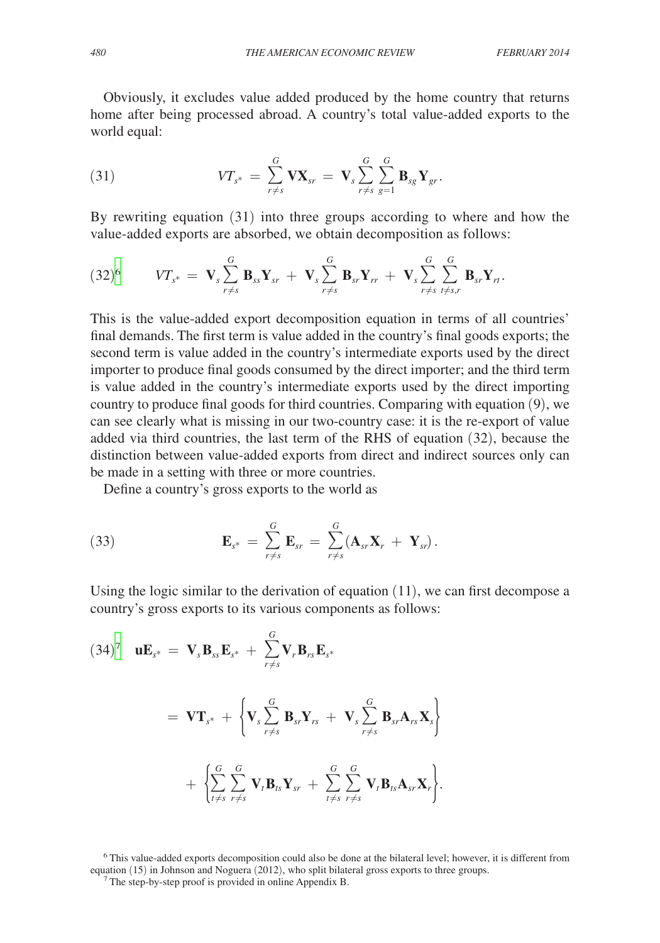Obviously, it excludes value added produced by the home country that returns home after being processed abroad. A country's total value-added exports to the world equal:

(31) 
$$
VT_{s^*} = \sum_{r \neq s}^{G} \mathbf{V} \mathbf{X}_{sr} = \mathbf{V}_s \sum_{r \neq s}^{G} \sum_{g=1}^{G} \mathbf{B}_{sg} \mathbf{Y}_{gr}.
$$

By rewriting equation (31) into three groups according to where and how the value-added exports are absorbed, we obtain decomposition as follows:

$$
(32)^6 \t\t V T_{s^*} = \mathbf{V}_s \sum_{r \neq s}^G \mathbf{B}_{ss} \mathbf{Y}_{sr} + \mathbf{V}_s \sum_{r \neq s}^G \mathbf{B}_{sr} \mathbf{Y}_{rr} + \mathbf{V}_s \sum_{r \neq s}^G \sum_{t \neq s,r}^G \mathbf{B}_{sr} \mathbf{Y}_{rt}.
$$

This is the value-added export decomposition equation in terms of all countries' final demands. The first term is value added in the country's final goods exports; the second term is value added in the country's intermediate exports used by the direct importer to produce final goods consumed by the direct importer; and the third term is value added in the country's intermediate exports used by the direct importing country to produce final goods for third countries. Comparing with equation (9), we can see clearly what is missing in our two-country case: it is the re-export of value added via third countries, the last term of the RHS of equation (32), because the distinction between value-added exports from direct and indirect sources only can be made in a setting with three or more countries.

Define a country's gross exports to the world as

(33) 
$$
\mathbf{E}_{s^*} = \sum_{r \neq s}^G \mathbf{E}_{sr} = \sum_{r \neq s}^G (\mathbf{A}_{sr} \mathbf{X}_r + \mathbf{Y}_{sr}).
$$

Using the logic similar to the derivation of equation  $(11)$ , we can first decompose a country's gross exports to its various components as follows:

$$
(34)^7 \quad \mathbf{u} \mathbf{E}_{s^*} = \mathbf{V}_s \mathbf{B}_{ss} \mathbf{E}_{s^*} + \sum_{r \neq s}^G \mathbf{V}_r \mathbf{B}_{rs} \mathbf{E}_{s^*}
$$

$$
= \mathbf{V} \mathbf{T}_{s^*} + \left\{ \mathbf{V}_s \sum_{r \neq s}^G \mathbf{B}_{sr} \mathbf{Y}_{rs} + \mathbf{V}_s \sum_{r \neq s}^G \mathbf{B}_{sr} \mathbf{A}_{rs} \mathbf{X}_s \right\}
$$

$$
+ \left\{ \sum_{t \neq s}^G \sum_{r \neq s}^G \mathbf{V}_t \mathbf{B}_{ts} \mathbf{Y}_{sr} + \sum_{t \neq s}^G \sum_{r \neq s}^G \mathbf{V}_t \mathbf{B}_{ts} \mathbf{A}_{sr} \mathbf{X}_r \right\}.
$$

<span id="page-21-1"></span><span id="page-21-0"></span>6 This value-added exports decomposition could also be done at the bilateral level; however, it is different from equation (15) in Johnson and Noguera (2012), who split bilateral gross exports to three groups. 7 The step-by-step proof is provided in online Appendix B.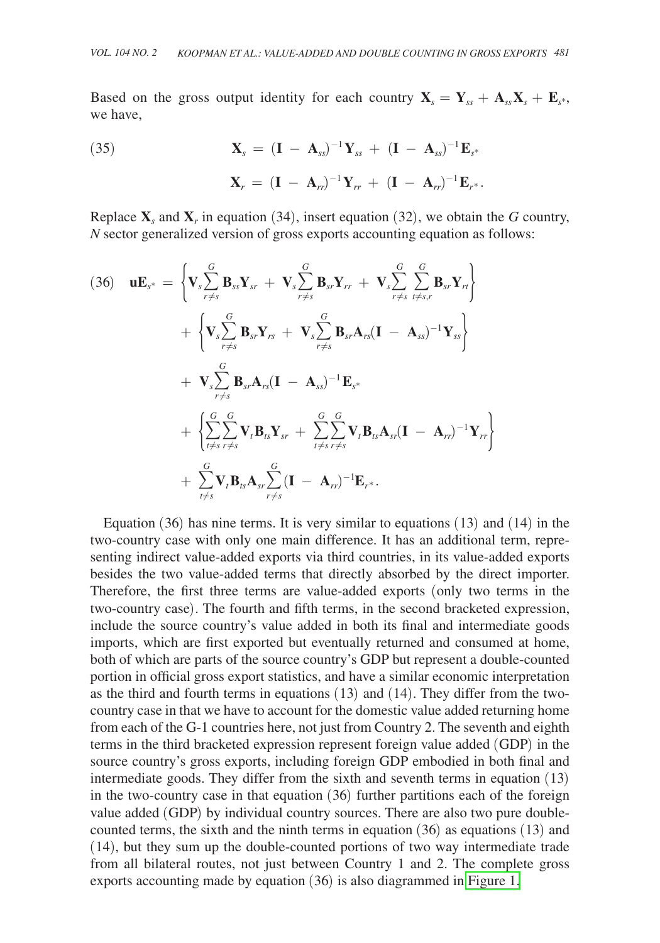Based on the gross output identity for each country  $X_s = Y_{ss} + A_{ss}X_s + E_{s^*}$ , we have,

(35) 
$$
\mathbf{X}_s = (\mathbf{I} - \mathbf{A}_{ss})^{-1} \mathbf{Y}_{ss} + (\mathbf{I} - \mathbf{A}_{ss})^{-1} \mathbf{E}_{s^*}
$$

$$
\mathbf{X}_r = (\mathbf{I} - \mathbf{A}_{rr})^{-1} \mathbf{Y}_{rr} + (\mathbf{I} - \mathbf{A}_{rr})^{-1} \mathbf{E}_{r^*}.
$$

Replace  $X<sub>s</sub>$  and  $X<sub>r</sub>$  in equation (34), insert equation (32), we obtain the *G* country, *N* sector generalized version of gross exports accounting equation as follows:

(36) 
$$
\mathbf{u}\mathbf{E}_{s^*} = \left\{ \mathbf{V}_s \sum_{r \neq s}^G \mathbf{B}_{ss} \mathbf{Y}_{sr} + \mathbf{V}_s \sum_{r \neq s}^G \mathbf{B}_{sr} \mathbf{Y}_{rr} + \mathbf{V}_s \sum_{r \neq s}^G \sum_{t \neq s,r}^G \mathbf{B}_{sr} \mathbf{Y}_{rr} \right\} + \left\{ \mathbf{V}_s \sum_{r \neq s}^G \mathbf{B}_{sr} \mathbf{Y}_{rs} + \mathbf{V}_s \sum_{r \neq s}^G \mathbf{B}_{sr} \mathbf{A}_{rs} (\mathbf{I} - \mathbf{A}_{ss})^{-1} \mathbf{Y}_{ss} \right\} + \mathbf{V}_s \sum_{r \neq s}^G \mathbf{B}_{sr} \mathbf{A}_{rs} (\mathbf{I} - \mathbf{A}_{ss})^{-1} \mathbf{E}_{s^*} + \left\{ \sum_{t \neq s}^G \sum_{r \neq s}^G \mathbf{V}_t \mathbf{B}_{ts} \mathbf{Y}_{sr} + \sum_{t \neq s}^G \sum_{r \neq s}^G \mathbf{V}_t \mathbf{B}_{ts} \mathbf{A}_{sr} (\mathbf{I} - \mathbf{A}_{rr})^{-1} \mathbf{Y}_{rr} \right\} + \sum_{t \neq s}^G \mathbf{V}_t \mathbf{B}_{ts} \mathbf{A}_{sr} \sum_{r \neq s}^G (\mathbf{I} - \mathbf{A}_{rr})^{-1} \mathbf{E}_{r^*}.
$$

Equation (36) has nine terms. It is very similar to equations (13) and (14) in the two-country case with only one main difference. It has an additional term, representing indirect value-added exports via third countries, in its value-added exports besides the two value-added terms that directly absorbed by the direct importer. Therefore, the first three terms are value-added exports (only two terms in the two-country case). The fourth and fifth terms, in the second bracketed expression, include the source country's value added in both its final and intermediate goods imports, which are first exported but eventually returned and consumed at home, both of which are parts of the source country's GDP but represent a double-counted portion in official gross export statistics, and have a similar economic interpretation as the third and fourth terms in equations (13) and (14). They differ from the twocountry case in that we have to account for the domestic value added returning home from each of the G-1 countries here, not just from Country 2. The seventh and eighth terms in the third bracketed expression represent foreign value added (GDP) in the source country's gross exports, including foreign GDP embodied in both final and intermediate goods. They differ from the sixth and seventh terms in equation (13) in the two-country case in that equation (36) further partitions each of the foreign value added (GDP) by individual country sources. There are also two pure doublecounted terms, the sixth and the ninth terms in equation (36) as equations (13) and (14), but they sum up the double-counted portions of two way intermediate trade from all bilateral routes, not just between Country 1 and 2. The complete gross exports accounting made by equation (36) is also diagrammed in [Figure 1.](#page-23-0)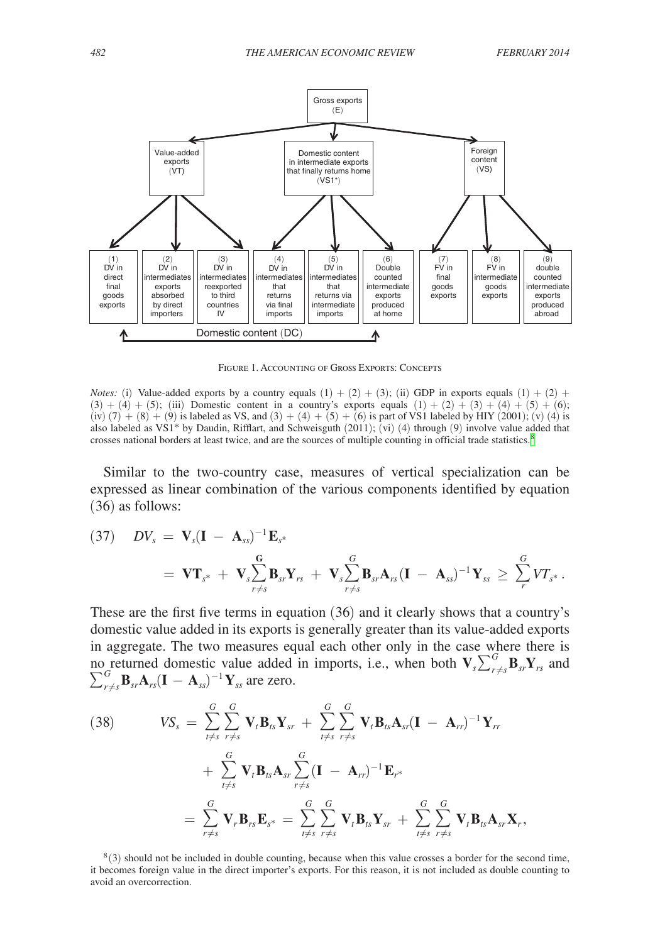<span id="page-23-0"></span>

Figure 1. Accounting of Gross Exports: Concepts

*Notes:* (i) Value-added exports by a country equals  $(1) + (2) + (3)$ ; (ii) GDP in exports equals  $(1) + (2) +$  $(3) + (4) + (5)$ ; (iii) Domestic content in a country's exports equals  $(1) + (2) + (3) + (4) + (5) + (6)$ ; (iv)  $(7) + (8) + (9)$  is labeled as VS, and  $(3) + (4) + (5) + (6)$  is part of VS1 labeled by HIY (2001); (v) (4) is also labeled as VS1\* by Daudin, Rifflart, and Schweisguth (2011); (vi) (4) through (9) involve value added that crosses national borders at least twice, and are the sources of multiple counting in official trade statistics.<sup>[8](#page-23-1)</sup>

Similar to the two-country case, measures of vertical specialization can be expressed as linear combination of the various components identified by equation (36) as follows:

(37) 
$$
DV_s = \mathbf{V}_s(\mathbf{I} - \mathbf{A}_{ss})^{-1}\mathbf{E}_{s^*}
$$
  
=  $\mathbf{V}\mathbf{T}_{s^*} + \mathbf{V}_s \sum_{r \neq s}^{\mathbf{G}} \mathbf{B}_{sr}\mathbf{Y}_{rs} + \mathbf{V}_s \sum_{r \neq s}^{\mathbf{G}} \mathbf{B}_{sr}\mathbf{A}_{rs}(\mathbf{I} - \mathbf{A}_{ss})^{-1}\mathbf{Y}_{ss} \geq \sum_{r}^{\mathbf{G}} VT_{s^*}.$ 

These are the first five terms in equation (36) and it clearly shows that a country's domestic value added in its exports is generally greater than its value-added exports in aggregate. The two measures equal each other only in the case where there is no returned domestic value added in imports, i.e., when both  $\mathbf{V}_s \sum_{r \neq s}^G \mathbf{B}_{sr} \mathbf{Y}_{rs}$  and  $\sum_{r \neq s}^{G}$ **B**<sub>sr</sub>**A**<sub>*rs*</sub>(**I** − **A**<sub>ss</sub>)<sup>-1</sup>**Y**<sub>ss</sub> are zero.

(38) 
$$
VS_s = \sum_{t \neq s}^{G} \sum_{r \neq s}^{G} \mathbf{V}_t \mathbf{B}_{ts} \mathbf{Y}_{sr} + \sum_{t \neq s}^{G} \sum_{r \neq s}^{G} \mathbf{V}_t \mathbf{B}_{ts} \mathbf{A}_{sr} (\mathbf{I} - \mathbf{A}_{rr})^{-1} \mathbf{Y}_{rr} + \sum_{t \neq s}^{G} \mathbf{V}_t \mathbf{B}_{ts} \mathbf{A}_{sr} \sum_{r \neq s}^{G} (\mathbf{I} - \mathbf{A}_{rr})^{-1} \mathbf{E}_{r^*} = \sum_{r \neq s}^{G} \mathbf{V}_r \mathbf{B}_{rs} \mathbf{E}_{s^*} = \sum_{t \neq s}^{G} \sum_{r \neq s}^{G} \mathbf{V}_t \mathbf{B}_{ts} \mathbf{Y}_{sr} + \sum_{t \neq s}^{G} \sum_{r \neq s}^{G} \mathbf{V}_t \mathbf{B}_{ts} \mathbf{A}_{sr} \mathbf{X}_{r},
$$

<span id="page-23-1"></span> $8(3)$  should not be included in double counting, because when this value crosses a border for the second time, it becomes foreign value in the direct importer's exports. For this reason, it is not included as double counting to avoid an overcorrection.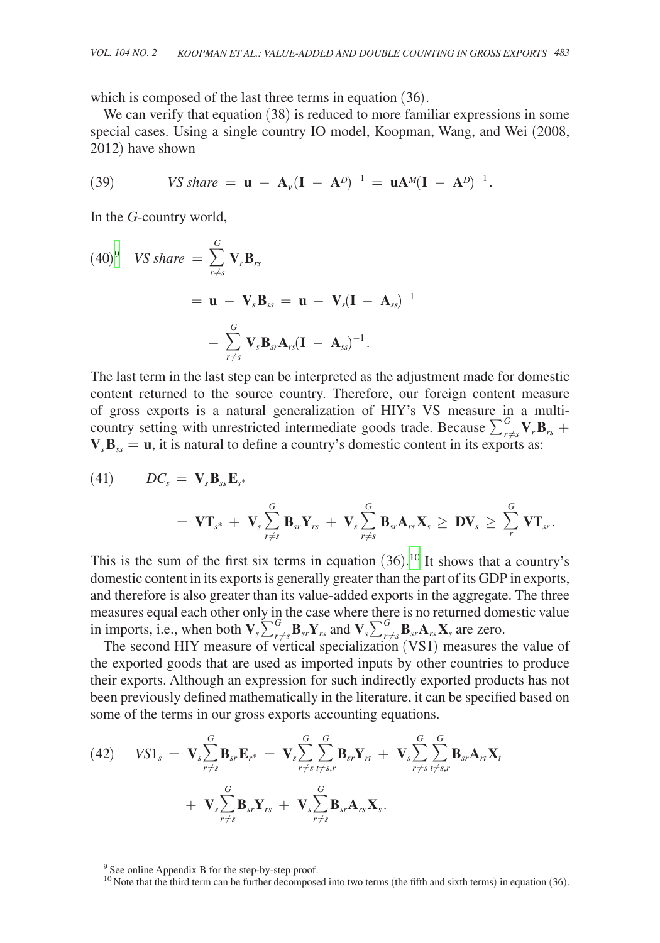which is composed of the last three terms in equation (36).

We can verify that equation (38) is reduced to more familiar expressions in some special cases. Using a single country IO model, Koopman, Wang, and Wei (2008, 2012) have shown

(39) 
$$
VS share = \mathbf{u} - \mathbf{A}_{\nu}(\mathbf{I} - \mathbf{A}^D)^{-1} = \mathbf{u}\mathbf{A}^M(\mathbf{I} - \mathbf{A}^D)^{-1}.
$$

In the *G*-country world,

$$
(40)^{9} \quad VS \, share = \sum_{r \neq s}^{G} \mathbf{V}_{r} \mathbf{B}_{rs}
$$
  
=  $\mathbf{u} - \mathbf{V}_{s} \mathbf{B}_{ss} = \mathbf{u} - \mathbf{V}_{s} (\mathbf{I} - \mathbf{A}_{ss})^{-1}$   

$$
- \sum_{r \neq s}^{G} \mathbf{V}_{s} \mathbf{B}_{sr} \mathbf{A}_{rs} (\mathbf{I} - \mathbf{A}_{ss})^{-1}.
$$

The last term in the last step can be interpreted as the adjustment made for domestic content returned to the source country. Therefore, our foreign content measure of gross exports is a natural generalization of HIY's VS measure in a multicountry setting with unrestricted intermediate goods trade. Because  $\sum_{r \neq s}^{G} \mathbf{V}_r \mathbf{B}_{rs}$  +  $V_B$ <sub>ss</sub> = **u**, it is natural to define a country's domestic content in its exports as:

(41) 
$$
DC_s = \mathbf{V}_s \mathbf{B}_{ss} \mathbf{E}_{s^*}
$$

$$
= \mathbf{V} \mathbf{T}_{s^*} + \mathbf{V}_s \sum_{r \neq s}^G \mathbf{B}_{sr} \mathbf{Y}_{rs} + \mathbf{V}_s \sum_{r \neq s}^G \mathbf{B}_{sr} \mathbf{A}_{rs} \mathbf{X}_s \geq \mathbf{D} \mathbf{V}_s \geq \sum_{r}^G \mathbf{V} \mathbf{T}_{sr}.
$$

This is the sum of the first six terms in equation  $(36)$ .<sup>10</sup> It shows that a country's domestic content in its exports is generally greater than the part of its GDP in exports, and therefore is also greater than its value-added exports in the aggregate. The three measures equal each other only in the case where there is no returned domestic value in imports, i.e., when both  $V_s \sum_{r=s}^{G} B_{sr} Y_{rs}$  and  $V_s \sum_{r=s}^{G} B_{sr} A_{rs} X_s$  are zero.

The second HIY measure of vertical specialization (VS1) measures the value of the exported goods that are used as imported inputs by other countries to produce their exports. Although an expression for such indirectly exported products has not been previously defined mathematically in the literature, it can be specified based on some of the terms in our gross exports accounting equations.

(42) 
$$
VSI_s = \mathbf{V}_s \sum_{r \neq s}^{G} \mathbf{B}_{sr} \mathbf{E}_{r^*} = \mathbf{V}_s \sum_{r \neq s}^{G} \sum_{t \neq s,r}^{G} \mathbf{B}_{sr} \mathbf{Y}_{rt} + \mathbf{V}_s \sum_{r \neq s}^{G} \sum_{t \neq s,r}^{G} \mathbf{B}_{sr} \mathbf{A}_{rt} \mathbf{X}_t + \mathbf{V}_s \sum_{r \neq s}^{G} \mathbf{B}_{sr} \mathbf{Y}_{rs} + \mathbf{V}_s \sum_{r \neq s}^{G} \mathbf{B}_{sr} \mathbf{A}_{rs} \mathbf{X}_s.
$$

<span id="page-24-0"></span><sup>9</sup> See online Appendix B for the step-by-step proof.

<span id="page-24-1"></span><sup>&</sup>lt;sup>10</sup> Note that the third term can be further decomposed into two terms (the fifth and sixth terms) in equation (36).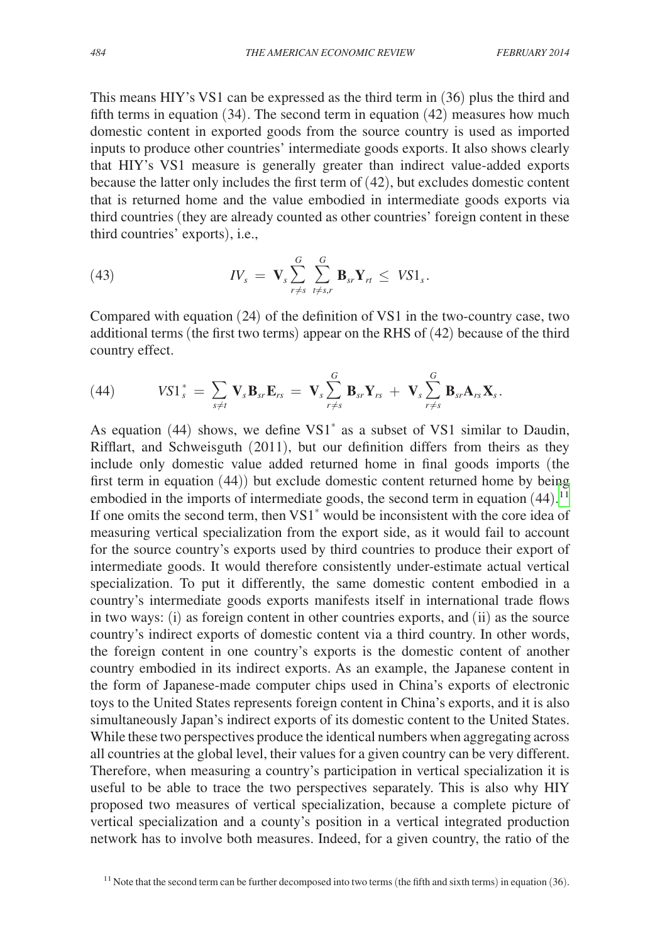This means HIY's VS1 can be expressed as the third term in (36) plus the third and fifth terms in equation (34). The second term in equation (42) measures how much domestic content in exported goods from the source country is used as imported inputs to produce other countries' intermediate goods exports. It also shows clearly that HIY's VS1 measure is generally greater than indirect value-added exports because the latter only includes the first term of (42), but excludes domestic content that is returned home and the value embodied in intermediate goods exports via third countries (they are already counted as other countries' foreign content in these third countries' exports), i.e.,

(43) 
$$
IV_s = \mathbf{V}_s \sum_{r \neq s}^{G} \sum_{t \neq s,r}^{G} \mathbf{B}_{sr} \mathbf{Y}_r t \leq VS1_s.
$$

Compared with equation (24) of the definition of VS1 in the two-country case, two additional terms (the first two terms) appear on the RHS of (42) because of the third country effect.

(44) 
$$
VSI_s^* = \sum_{s \neq t} \mathbf{V}_s \mathbf{B}_{sr} \mathbf{E}_{rs} = \mathbf{V}_s \sum_{r \neq s}^G \mathbf{B}_{sr} \mathbf{Y}_{rs} + \mathbf{V}_s \sum_{r \neq s}^G \mathbf{B}_{sr} \mathbf{A}_{rs} \mathbf{X}_s.
$$

As equation (44) shows, we define VS1\* as a subset of VS1 similar to Daudin, Rifflart, and Schweisguth (2011), but our definition differs from theirs as they include only domestic value added returned home in final goods imports (the first term in equation (44)) but exclude domestic content returned home by being embodied in the imports of intermediate goods, the second term in equation  $(44).$ <sup>[11](#page-25-0)</sup> If one omits the second term, then VS1\* would be inconsistent with the core idea of measuring vertical specialization from the export side, as it would fail to account for the source country's exports used by third countries to produce their export of intermediate goods. It would therefore consistently under-estimate actual vertical specialization. To put it differently, the same domestic content embodied in a country's intermediate goods exports manifests itself in international trade flows in two ways: (i) as foreign content in other countries exports, and (ii) as the source country's indirect exports of domestic content via a third country. In other words, the foreign content in one country's exports is the domestic content of another country embodied in its indirect exports. As an example, the Japanese content in the form of Japanese-made computer chips used in China's exports of electronic toys to the United States represents foreign content in China's exports, and it is also simultaneously Japan's indirect exports of its domestic content to the United States. While these two perspectives produce the identical numbers when aggregating across all countries at the global level, their values for a given country can be very different. Therefore, when measuring a country's participation in vertical specialization it is useful to be able to trace the two perspectives separately. This is also why HIY proposed two measures of vertical specialization, because a complete picture of vertical specialization and a county's position in a vertical integrated production network has to involve both measures. Indeed, for a given country, the ratio of the

<span id="page-25-0"></span> $11$  Note that the second term can be further decomposed into two terms (the fifth and sixth terms) in equation (36).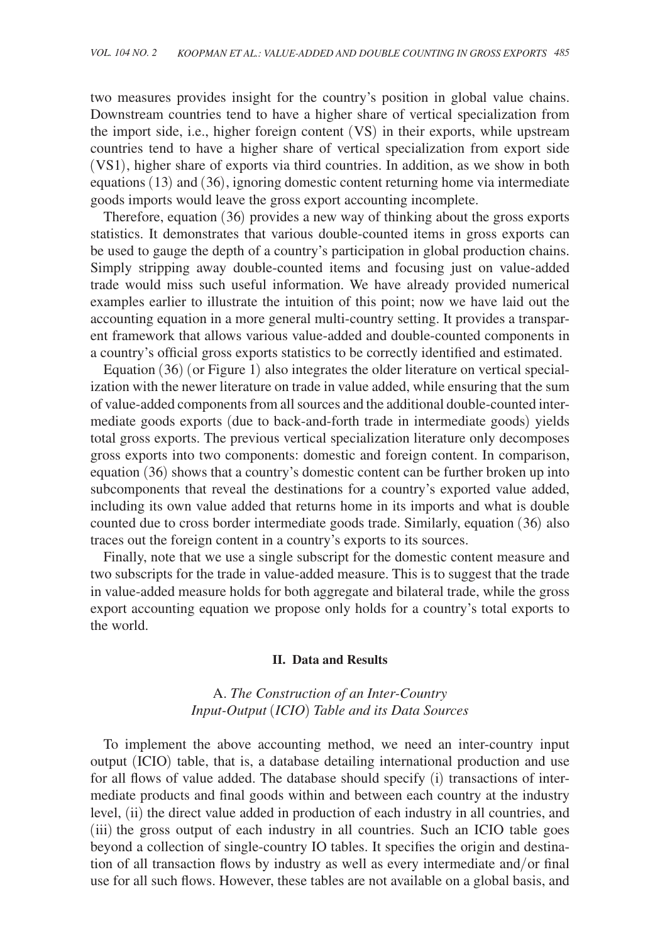two measures provides insight for the country's position in global value chains. Downstream countries tend to have a higher share of vertical specialization from the import side, i.e., higher foreign content (VS) in their exports, while upstream countries tend to have a higher share of vertical specialization from export side (VS1), higher share of exports via third countries. In addition, as we show in both equations (13) and (36), ignoring domestic content returning home via intermediate goods imports would leave the gross export accounting incomplete.

Therefore, equation (36) provides a new way of thinking about the gross exports statistics. It demonstrates that various double-counted items in gross exports can be used to gauge the depth of a country's participation in global production chains. Simply stripping away double-counted items and focusing just on value-added trade would miss such useful information. We have already provided numerical examples earlier to illustrate the intuition of this point; now we have laid out the accounting equation in a more general multi-country setting. It provides a transparent framework that allows various value-added and double-counted components in a country's official gross exports statistics to be correctly identified and estimated.

Equation (36) (or Figure 1) also integrates the older literature on vertical specialization with the newer literature on trade in value added, while ensuring that the sum of value-added components from all sources and the additional double-counted intermediate goods exports (due to back-and-forth trade in intermediate goods) yields total gross exports. The previous vertical specialization literature only decomposes gross exports into two components: domestic and foreign content. In comparison, equation (36) shows that a country's domestic content can be further broken up into subcomponents that reveal the destinations for a country's exported value added, including its own value added that returns home in its imports and what is double counted due to cross border intermediate goods trade. Similarly, equation (36) also traces out the foreign content in a country's exports to its sources.

Finally, note that we use a single subscript for the domestic content measure and two subscripts for the trade in value-added measure. This is to suggest that the trade in value-added measure holds for both aggregate and bilateral trade, while the gross export accounting equation we propose only holds for a country's total exports to the world.

#### **II. Data and Results**

## A. *The Construction of an Inter-Country Input-Output* (*ICIO*) *Table and its Data Sources*

To implement the above accounting method, we need an inter-country input output (ICIO) table, that is, a database detailing international production and use for all flows of value added. The database should specify (i) transactions of intermediate products and final goods within and between each country at the industry level, (ii) the direct value added in production of each industry in all countries, and (iii) the gross output of each industry in all countries. Such an ICIO table goes beyond a collection of single-country IO tables. It specifies the origin and destination of all transaction flows by industry as well as every intermediate and/or final use for all such flows. However, these tables are not available on a global basis, and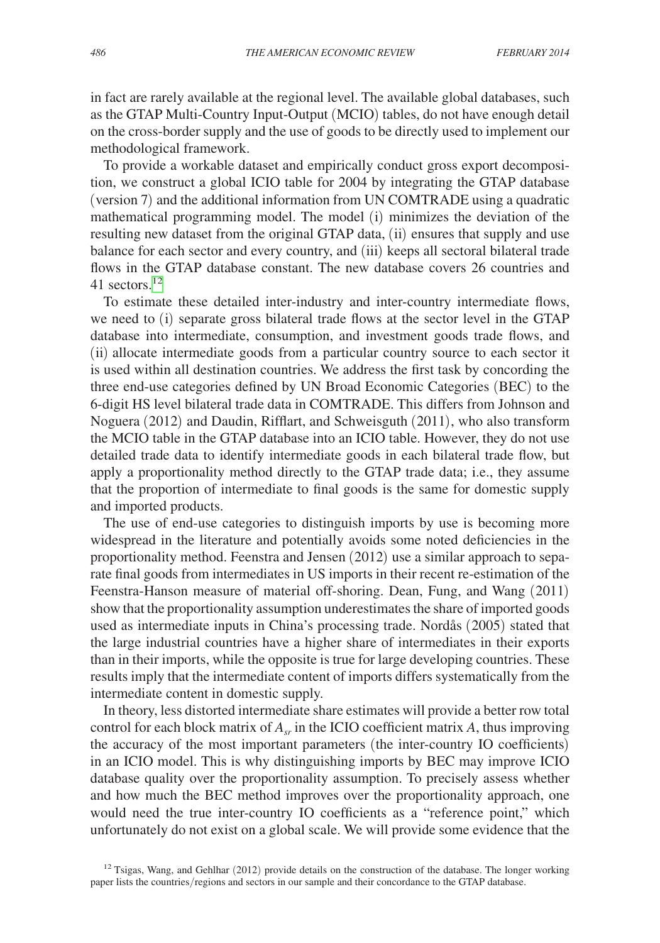in fact are rarely available at the regional level. The available global databases, such as the GTAP Multi-Country Input-Output (MCIO) tables, do not have enough detail on the cross-border supply and the use of goods to be directly used to implement our methodological framework.

To provide a workable dataset and empirically conduct gross export decomposition, we construct a global ICIO table for 2004 by integrating the GTAP database (version 7) and the additional information from UN COMTRADE using a quadratic mathematical programming model. The model (i) minimizes the deviation of the resulting new dataset from the original GTAP data, (ii) ensures that supply and use balance for each sector and every country, and (iii) keeps all sectoral bilateral trade flows in the GTAP database constant. The new database covers 26 countries and 41 sectors. $12$ 

To estimate these detailed inter-industry and inter-country intermediate flows, we need to (i) separate gross bilateral trade flows at the sector level in the GTAP database into intermediate, consumption, and investment goods trade flows, and (ii) allocate intermediate goods from a particular country source to each sector it is used within all destination countries. We address the first task by concording the three end-use categories defined by UN Broad Economic Categories (BEC) to the 6-digit HS level bilateral trade data in COMTRADE. This differs from Johnson and Noguera (2012) and Daudin, Rifflart, and Schweisguth (2011), who also transform the MCIO table in the GTAP database into an ICIO table. However, they do not use detailed trade data to identify intermediate goods in each bilateral trade flow, but apply a proportionality method directly to the GTAP trade data; i.e., they assume that the proportion of intermediate to final goods is the same for domestic supply and imported products.

The use of end-use categories to distinguish imports by use is becoming more widespread in the literature and potentially avoids some noted deficiencies in the proportionality method. Feenstra and Jensen (2012) use a similar approach to separate final goods from intermediates in US imports in their recent re-estimation of the Feenstra-Hanson measure of material off-shoring. Dean, Fung, and Wang (2011) show that the proportionality assumption underestimates the share of imported goods used as intermediate inputs in China's processing trade. Nordås (2005) stated that the large industrial countries have a higher share of intermediates in their exports than in their imports, while the opposite is true for large developing countries. These results imply that the intermediate content of imports differs systematically from the intermediate content in domestic supply.

In theory, less distorted intermediate share estimates will provide a better row total control for each block matrix of  $A_{sr}$  in the ICIO coefficient matrix  $A$ , thus improving the accuracy of the most important parameters (the inter-country IO coefficients) in an ICIO model. This is why distinguishing imports by BEC may improve ICIO database quality over the proportionality assumption. To precisely assess whether and how much the BEC method improves over the proportionality approach, one would need the true inter-country IO coefficients as a "reference point," which unfortunately do not exist on a global scale. We will provide some evidence that the

<span id="page-27-0"></span> $12$  Tsigas, Wang, and Gehlhar (2012) provide details on the construction of the database. The longer working paper lists the countries/regions and sectors in our sample and their concordance to the GTAP database.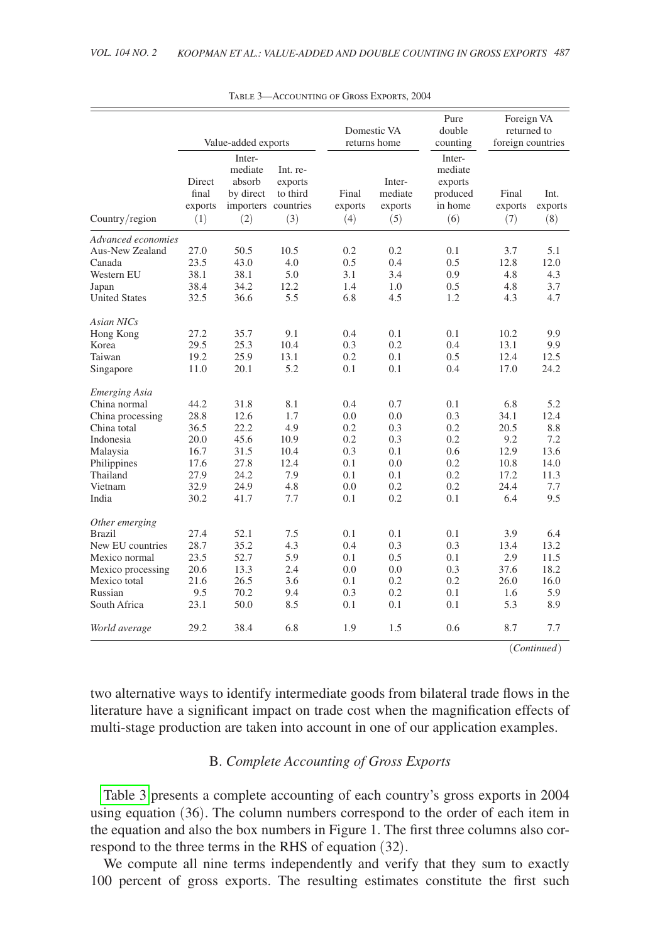|                                                                                                                                      | Value-added exports                                                  |                                                                      |                                                                | Domestic VA<br>returns home                                 | Pure<br>double<br>counting                                  | Foreign VA<br>returned to<br>foreign countries              |                                                                   |                                                                 |
|--------------------------------------------------------------------------------------------------------------------------------------|----------------------------------------------------------------------|----------------------------------------------------------------------|----------------------------------------------------------------|-------------------------------------------------------------|-------------------------------------------------------------|-------------------------------------------------------------|-------------------------------------------------------------------|-----------------------------------------------------------------|
| Country/region                                                                                                                       | Direct<br>final<br>exports<br>(1)                                    | Inter-<br>mediate<br>absorb<br>by direct<br>(2)                      | Int. re-<br>exports<br>to third<br>importers countries<br>(3)  | Final<br>exports<br>(4)                                     | Inter-<br>mediate<br>exports<br>(5)                         | Inter-<br>mediate<br>exports<br>produced<br>in home<br>(6)  | Final<br>exports<br>(7)                                           | Int.<br>exports<br>(8)                                          |
| Advanced economies                                                                                                                   |                                                                      |                                                                      |                                                                |                                                             |                                                             |                                                             |                                                                   |                                                                 |
| Aus-New Zealand<br>Canada<br>Western EU<br>Japan                                                                                     | 27.0<br>23.5<br>38.1<br>38.4                                         | 50.5<br>43.0<br>38.1<br>34.2                                         | 10.5<br>4.0<br>5.0<br>12.2                                     | 0.2<br>0.5<br>3.1<br>1.4                                    | 0.2<br>0.4<br>3.4<br>1.0                                    | 0.1<br>0.5<br>0.9<br>0.5                                    | 3.7<br>12.8<br>4.8<br>4.8                                         | 5.1<br>12.0<br>4.3<br>3.7                                       |
| <b>United States</b>                                                                                                                 | 32.5                                                                 | 36.6                                                                 | 5.5                                                            | 6.8                                                         | 4.5                                                         | 1.2                                                         | 4.3                                                               | 4.7                                                             |
| <b>Asian NICs</b><br>Hong Kong<br>Korea<br>Taiwan<br>Singapore<br><b>Emerging Asia</b>                                               | 27.2<br>29.5<br>19.2<br>11.0                                         | 35.7<br>25.3<br>25.9<br>20.1                                         | 9.1<br>10.4<br>13.1<br>5.2                                     | 0.4<br>0.3<br>0.2<br>0.1                                    | 0.1<br>0.2<br>0.1<br>0.1                                    | 0.1<br>0.4<br>0.5<br>0.4                                    | 10.2<br>13.1<br>12.4<br>17.0                                      | 9.9<br>9.9<br>12.5<br>24.2                                      |
| China normal<br>China processing<br>China total<br>Indonesia<br>Malaysia<br>Philippines<br>Thailand<br>Vietnam<br>India              | 44.2<br>28.8<br>36.5<br>20.0<br>16.7<br>17.6<br>27.9<br>32.9<br>30.2 | 31.8<br>12.6<br>22.2<br>45.6<br>31.5<br>27.8<br>24.2<br>24.9<br>41.7 | 8.1<br>1.7<br>4.9<br>10.9<br>10.4<br>12.4<br>7.9<br>4.8<br>7.7 | 0.4<br>0.0<br>0.2<br>0.2<br>0.3<br>0.1<br>0.1<br>0.0<br>0.1 | 0.7<br>0.0<br>0.3<br>0.3<br>0.1<br>0.0<br>0.1<br>0.2<br>0.2 | 0.1<br>0.3<br>0.2<br>0.2<br>0.6<br>0.2<br>0.2<br>0.2<br>0.1 | 6.8<br>34.1<br>20.5<br>9.2<br>12.9<br>10.8<br>17.2<br>24.4<br>6.4 | 5.2<br>12.4<br>8.8<br>7.2<br>13.6<br>14.0<br>11.3<br>7.7<br>9.5 |
| Other emerging<br><b>Brazil</b><br>New EU countries<br>Mexico normal<br>Mexico processing<br>Mexico total<br>Russian<br>South Africa | 27.4<br>28.7<br>23.5<br>20.6<br>21.6<br>9.5<br>23.1                  | 52.1<br>35.2<br>52.7<br>13.3<br>26.5<br>70.2<br>50.0                 | 7.5<br>4.3<br>5.9<br>2.4<br>3.6<br>9.4<br>8.5                  | 0.1<br>0.4<br>0.1<br>0.0<br>0.1<br>0.3<br>0.1               | 0.1<br>0.3<br>0.5<br>0.0<br>0.2<br>0.2<br>0.1               | 0.1<br>0.3<br>0.1<br>0.3<br>0.2<br>0.1<br>0.1               | 3.9<br>13.4<br>2.9<br>37.6<br>26.0<br>1.6<br>5.3                  | 6.4<br>13.2<br>11.5<br>18.2<br>16.0<br>5.9<br>8.9               |
| World average                                                                                                                        | 29.2                                                                 | 38.4                                                                 | 6.8                                                            | 1.9                                                         | 1.5                                                         | 0.6                                                         | 8.7                                                               | 7.7                                                             |
|                                                                                                                                      |                                                                      |                                                                      |                                                                |                                                             |                                                             |                                                             |                                                                   | $^{'}$ Continued                                                |

Table 3—Accounting of Gross Exports, 2004

two alternative ways to identify intermediate goods from bilateral trade flows in the literature have a significant impact on trade cost when the magnification effects of multi-stage production are taken into account in one of our application examples.

## B. *Complete Accounting of Gross Exports*

Table 3 presents a complete accounting of each country's gross exports in 2004 using equation (36). The column numbers correspond to the order of each item in the equation and also the box numbers in Figure 1. The first three columns also correspond to the three terms in the RHS of equation (32).

We compute all nine terms independently and verify that they sum to exactly 100 percent of gross exports. The resulting estimates constitute the first such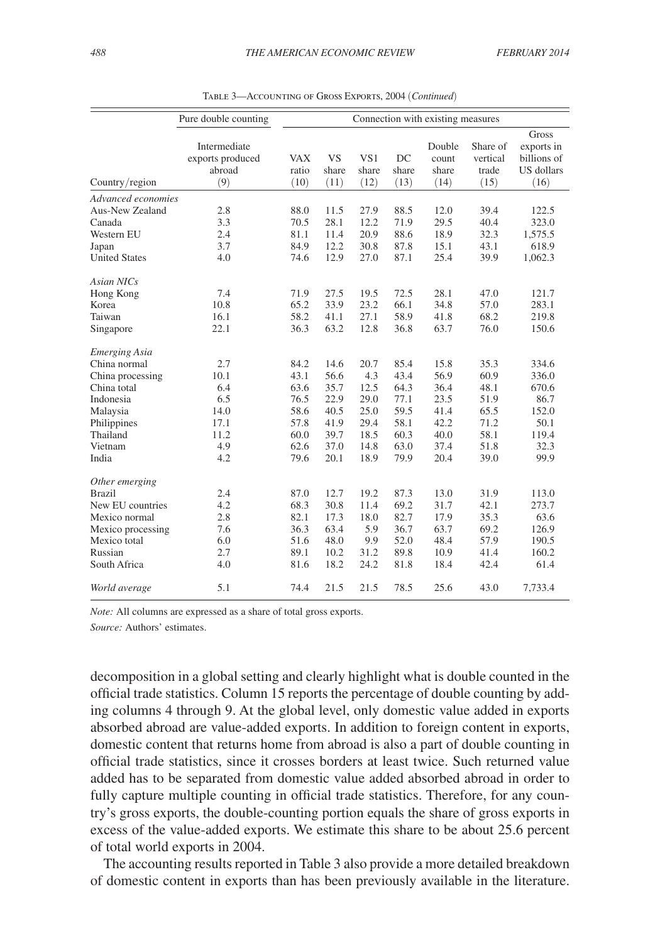|                                                                                                                                                 | Pure double counting                                            | Connection with existing measures                                    |                                                                      |                                                                     |                                                                      |                                                                      |                                                                      |                                                                           |
|-------------------------------------------------------------------------------------------------------------------------------------------------|-----------------------------------------------------------------|----------------------------------------------------------------------|----------------------------------------------------------------------|---------------------------------------------------------------------|----------------------------------------------------------------------|----------------------------------------------------------------------|----------------------------------------------------------------------|---------------------------------------------------------------------------|
| Country/region                                                                                                                                  | Intermediate<br>exports produced<br>abroad<br>(9)               | <b>VAX</b><br>ratio<br>(10)                                          | <b>VS</b><br>share<br>(11)                                           | VS1<br>share<br>(12)                                                | DC<br>share<br>(13)                                                  | Double<br>count<br>share<br>(14)                                     | Share of<br>vertical<br>trade<br>(15)                                | Gross<br>exports in<br>billions of<br>US dollars<br>(16)                  |
| Advanced economies<br>Aus-New Zealand                                                                                                           | 2.8                                                             | 88.0                                                                 | 11.5                                                                 | 27.9                                                                | 88.5                                                                 | 12.0                                                                 | 39.4                                                                 | 122.5                                                                     |
| Canada<br>Western EU<br>Japan<br><b>United States</b>                                                                                           | 3.3<br>2.4<br>3.7<br>4.0                                        | 70.5<br>81.1<br>84.9<br>74.6                                         | 28.1<br>11.4<br>12.2<br>12.9                                         | 12.2<br>20.9<br>30.8<br>27.0                                        | 71.9<br>88.6<br>87.8<br>87.1                                         | 29.5<br>18.9<br>15.1<br>25.4                                         | 40.4<br>32.3<br>43.1<br>39.9                                         | 323.0<br>1,575.5<br>618.9<br>1,062.3                                      |
| <b>Asian NICs</b><br>Hong Kong                                                                                                                  | 7.4                                                             | 71.9                                                                 | 27.5                                                                 | 19.5                                                                | 72.5                                                                 | 28.1                                                                 | 47.0                                                                 | 121.7                                                                     |
| Korea<br>Taiwan<br>Singapore                                                                                                                    | 10.8<br>16.1<br>22.1                                            | 65.2<br>58.2<br>36.3                                                 | 33.9<br>41.1<br>63.2                                                 | 23.2<br>27.1<br>12.8                                                | 66.1<br>58.9<br>36.8                                                 | 34.8<br>41.8<br>63.7                                                 | 57.0<br>68.2<br>76.0                                                 | 283.1<br>219.8<br>150.6                                                   |
| <b>Emerging Asia</b><br>China normal<br>China processing<br>China total<br>Indonesia<br>Malaysia<br>Philippines<br>Thailand<br>Vietnam<br>India | 2.7<br>10.1<br>6.4<br>6.5<br>14.0<br>17.1<br>11.2<br>4.9<br>4.2 | 84.2<br>43.1<br>63.6<br>76.5<br>58.6<br>57.8<br>60.0<br>62.6<br>79.6 | 14.6<br>56.6<br>35.7<br>22.9<br>40.5<br>41.9<br>39.7<br>37.0<br>20.1 | 20.7<br>4.3<br>12.5<br>29.0<br>25.0<br>29.4<br>18.5<br>14.8<br>18.9 | 85.4<br>43.4<br>64.3<br>77.1<br>59.5<br>58.1<br>60.3<br>63.0<br>79.9 | 15.8<br>56.9<br>36.4<br>23.5<br>41.4<br>42.2<br>40.0<br>37.4<br>20.4 | 35.3<br>60.9<br>48.1<br>51.9<br>65.5<br>71.2<br>58.1<br>51.8<br>39.0 | 334.6<br>336.0<br>670.6<br>86.7<br>152.0<br>50.1<br>119.4<br>32.3<br>99.9 |
| Other emerging<br><b>Brazil</b><br>New EU countries<br>Mexico normal<br>Mexico processing<br>Mexico total<br>Russian<br>South Africa            | 2.4<br>4.2<br>2.8<br>7.6<br>6.0<br>2.7<br>4.0                   | 87.0<br>68.3<br>82.1<br>36.3<br>51.6<br>89.1<br>81.6                 | 12.7<br>30.8<br>17.3<br>63.4<br>48.0<br>10.2<br>18.2                 | 19.2<br>11.4<br>18.0<br>5.9<br>9.9<br>31.2<br>24.2                  | 87.3<br>69.2<br>82.7<br>36.7<br>52.0<br>89.8<br>81.8                 | 13.0<br>31.7<br>17.9<br>63.7<br>48.4<br>10.9<br>18.4                 | 31.9<br>42.1<br>35.3<br>69.2<br>57.9<br>41.4<br>42.4                 | 113.0<br>273.7<br>63.6<br>126.9<br>190.5<br>160.2<br>61.4                 |
| World average                                                                                                                                   | 5.1                                                             | 74.4                                                                 | 21.5                                                                 | 21.5                                                                | 78.5                                                                 | 25.6                                                                 | 43.0                                                                 | 7,733.4                                                                   |

Table 3—Accounting of Gross Exports, 2004 (*Continued*)

*Note:* All columns are expressed as a share of total gross exports.

*Source:* Authors' estimates.

decomposition in a global setting and clearly highlight what is double counted in the official trade statistics. Column 15 reports the percentage of double counting by adding columns 4 through 9. At the global level, only domestic value added in exports absorbed abroad are value-added exports. In addition to foreign content in exports, domestic content that returns home from abroad is also a part of double counting in official trade statistics, since it crosses borders at least twice. Such returned value added has to be separated from domestic value added absorbed abroad in order to fully capture multiple counting in official trade statistics. Therefore, for any country's gross exports, the double-counting portion equals the share of gross exports in excess of the value-added exports. We estimate this share to be about 25.6 percent of total world exports in 2004.

The accounting results reported in Table 3 also provide a more detailed breakdown of domestic content in exports than has been previously available in the literature.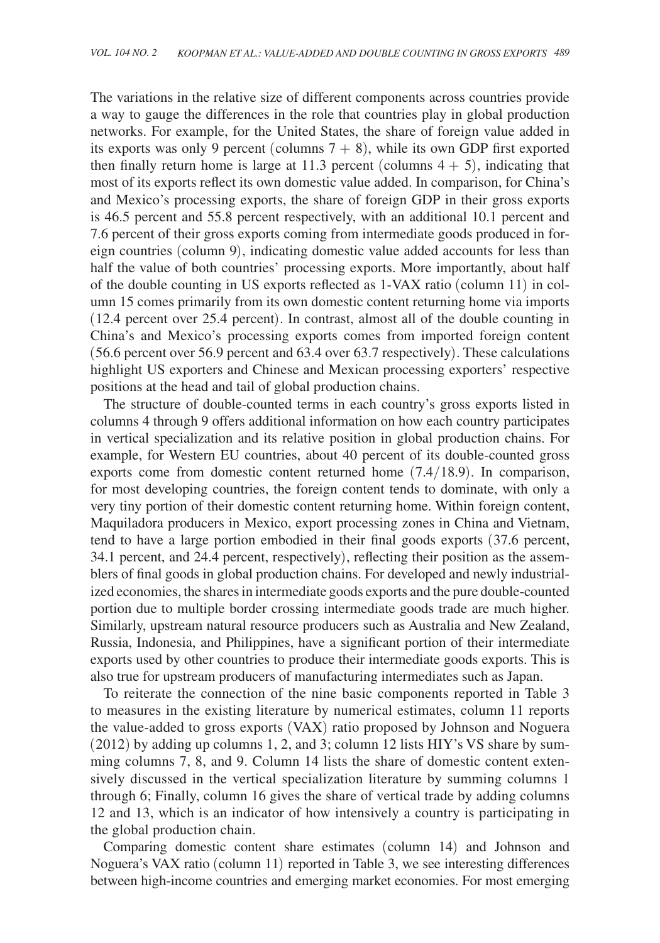The variations in the relative size of different components across countries provide a way to gauge the differences in the role that countries play in global production networks. For example, for the United States, the share of foreign value added in its exports was only 9 percent (columns  $7 + 8$ ), while its own GDP first exported then finally return home is large at 11.3 percent (columns  $4 + 5$ ), indicating that most of its exports reflect its own domestic value added. In comparison, for China's and Mexico's processing exports, the share of foreign GDP in their gross exports is 46.5 percent and 55.8 percent respectively, with an additional 10.1 percent and 7.6 percent of their gross exports coming from intermediate goods produced in foreign countries (column 9), indicating domestic value added accounts for less than half the value of both countries' processing exports. More importantly, about half of the double counting in US exports reflected as 1-VAX ratio (column 11) in column 15 comes primarily from its own domestic content returning home via imports (12.4 percent over 25.4 percent). In contrast, almost all of the double counting in China's and Mexico's processing exports comes from imported foreign content (56.6 percent over 56.9 percent and 63.4 over 63.7 respectively). These calculations highlight US exporters and Chinese and Mexican processing exporters' respective positions at the head and tail of global production chains.

The structure of double-counted terms in each country's gross exports listed in columns 4 through 9 offers additional information on how each country participates in vertical specialization and its relative position in global production chains. For example, for Western EU countries, about 40 percent of its double-counted gross exports come from domestic content returned home (7.4/18.9). In comparison, for most developing countries, the foreign content tends to dominate, with only a very tiny portion of their domestic content returning home. Within foreign content, Maquiladora producers in Mexico, export processing zones in China and Vietnam, tend to have a large portion embodied in their final goods exports (37.6 percent, 34.1 percent, and 24.4 percent, respectively), reflecting their position as the assemblers of final goods in global production chains. For developed and newly industrialized economies, the shares in intermediate goods exports and the pure double-counted portion due to multiple border crossing intermediate goods trade are much higher. Similarly, upstream natural resource producers such as Australia and New Zealand, Russia, Indonesia, and Philippines, have a significant portion of their intermediate exports used by other countries to produce their intermediate goods exports. This is also true for upstream producers of manufacturing intermediates such as Japan.

To reiterate the connection of the nine basic components reported in Table 3 to measures in the existing literature by numerical estimates, column 11 reports the value-added to gross exports (VAX) ratio proposed by Johnson and Noguera (2012) by adding up columns 1, 2, and 3; column 12 lists HIY's VS share by summing columns 7, 8, and 9. Column 14 lists the share of domestic content extensively discussed in the vertical specialization literature by summing columns 1 through 6; Finally, column 16 gives the share of vertical trade by adding columns 12 and 13, which is an indicator of how intensively a country is participating in the global production chain.

Comparing domestic content share estimates (column 14) and Johnson and Noguera's VAX ratio (column 11) reported in Table 3, we see interesting differences between high-income countries and emerging market economies. For most emerging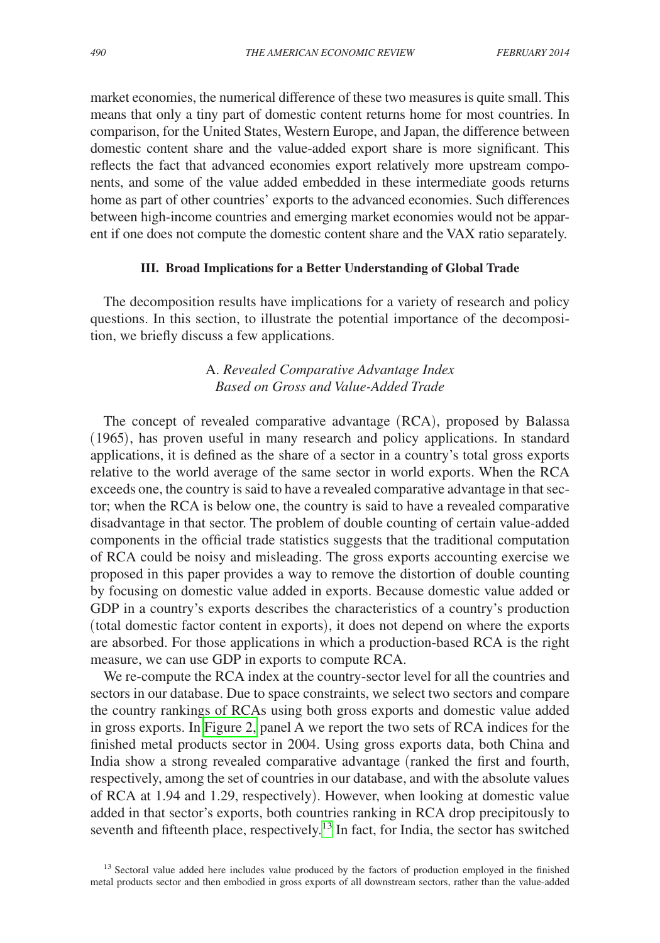market economies, the numerical difference of these two measures is quite small. This means that only a tiny part of domestic content returns home for most countries. In comparison, for the United States, Western Europe, and Japan, the difference between domestic content share and the value-added export share is more significant. This reflects the fact that advanced economies export relatively more upstream components, and some of the value added embedded in these intermediate goods returns home as part of other countries' exports to the advanced economies. Such differences between high-income countries and emerging market economies would not be apparent if one does not compute the domestic content share and the VAX ratio separately.

## **III. Broad Implications for a Better Understanding of Global Trade**

The decomposition results have implications for a variety of research and policy questions. In this section, to illustrate the potential importance of the decomposition, we briefly discuss a few applications.

# A. *Revealed Comparative Advantage Index Based on Gross and Value-Added Trade*

The concept of revealed comparative advantage (RCA), proposed by Balassa (1965), has proven useful in many research and policy applications. In standard applications, it is defined as the share of a sector in a country's total gross exports relative to the world average of the same sector in world exports. When the RCA exceeds one, the country is said to have a revealed comparative advantage in that sector; when the RCA is below one, the country is said to have a revealed comparative disadvantage in that sector. The problem of double counting of certain value-added components in the official trade statistics suggests that the traditional computation of RCA could be noisy and misleading. The gross exports accounting exercise we proposed in this paper provides a way to remove the distortion of double counting by focusing on domestic value added in exports. Because domestic value added or GDP in a country's exports describes the characteristics of a country's production (total domestic factor content in exports), it does not depend on where the exports are absorbed. For those applications in which a production-based RCA is the right measure, we can use GDP in exports to compute RCA.

We re-compute the RCA index at the country-sector level for all the countries and sectors in our database. Due to space constraints, we select two sectors and compare the country rankings of RCAs using both gross exports and domestic value added in gross exports. In [Figure 2,](#page-32-0) panel A we report the two sets of RCA indices for the finished metal products sector in 2004. Using gross exports data, both China and India show a strong revealed comparative advantage (ranked the first and fourth, respectively, among the set of countries in our database, and with the absolute values of RCA at 1.94 and 1.29, respectively). However, when looking at domestic value added in that sector's exports, both countries ranking in RCA drop precipitously to seventh and fifteenth place, respectively.<sup>13</sup> In fact, for India, the sector has switched

<span id="page-31-0"></span><sup>&</sup>lt;sup>13</sup> Sectoral value added here includes value produced by the factors of production employed in the finished metal products sector and then embodied in gross exports of all downstream sectors, rather than the value-added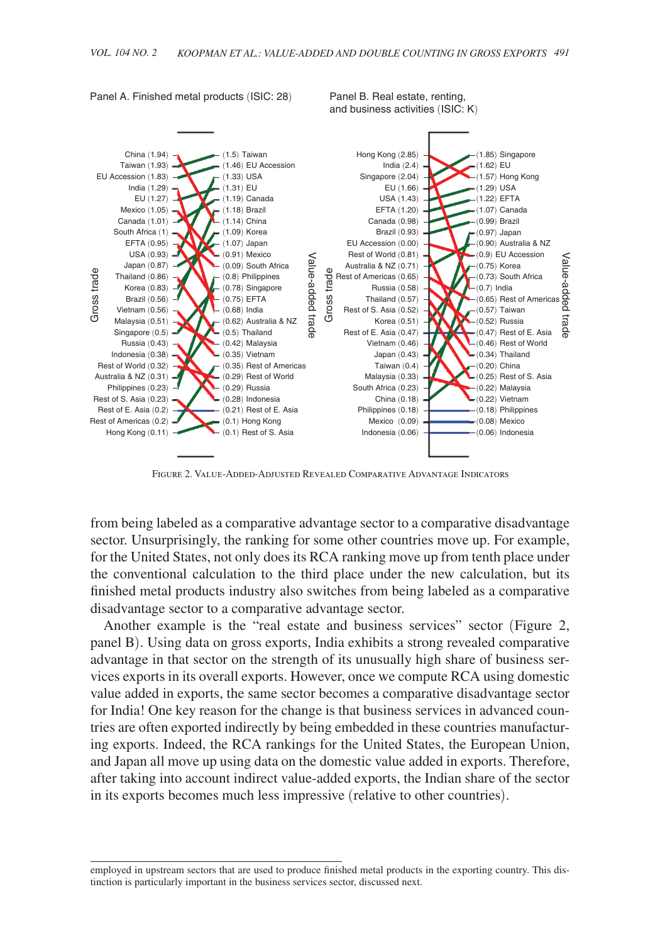

<span id="page-32-0"></span>Panel A. Finished metal products (ISIC: 28) Panel B. Real estate, renting,

Figure 2. Value-Added-Adjusted Revealed Comparative Advantage Indicators

from being labeled as a comparative advantage sector to a comparative disadvantage sector. Unsurprisingly, the ranking for some other countries move up. For example, for the United States, not only does its RCA ranking move up from tenth place under the conventional calculation to the third place under the new calculation, but its finished metal products industry also switches from being labeled as a comparative disadvantage sector to a comparative advantage sector.

Another example is the "real estate and business services" sector (Figure 2, panel B). Using data on gross exports, India exhibits a strong revealed comparative advantage in that sector on the strength of its unusually high share of business services exports in its overall exports. However, once we compute RCA using domestic value added in exports, the same sector becomes a comparative disadvantage sector for India! One key reason for the change is that business services in advanced countries are often exported indirectly by being embedded in these countries manufacturing exports. Indeed, the RCA rankings for the United States, the European Union, and Japan all move up using data on the domestic value added in exports. Therefore, after taking into account indirect value-added exports, the Indian share of the sector in its exports becomes much less impressive (relative to other countries).

employed in upstream sectors that are used to produce finished metal products in the exporting country. This distinction is particularly important in the business services sector, discussed next.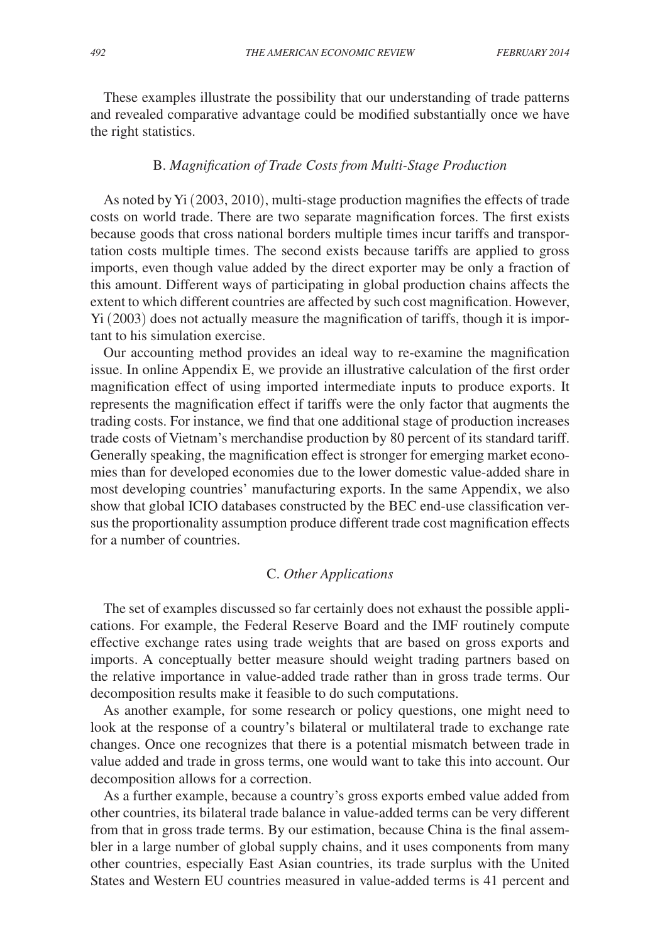These examples illustrate the possibility that our understanding of trade patterns and revealed comparative advantage could be modified substantially once we have the right statistics.

### B. *Magnification of Trade Costs from Multi-Stage Production*

As noted by Yi (2003, 2010), multi-stage production magnifies the effects of trade costs on world trade. There are two separate magnification forces. The first exists because goods that cross national borders multiple times incur tariffs and transportation costs multiple times. The second exists because tariffs are applied to gross imports, even though value added by the direct exporter may be only a fraction of this amount. Different ways of participating in global production chains affects the extent to which different countries are affected by such cost magnification. However, Yi (2003) does not actually measure the magnification of tariffs, though it is important to his simulation exercise.

Our accounting method provides an ideal way to re-examine the magnification issue. In online Appendix E, we provide an illustrative calculation of the first order magnification effect of using imported intermediate inputs to produce exports. It represents the magnification effect if tariffs were the only factor that augments the trading costs. For instance, we find that one additional stage of production increases trade costs of Vietnam's merchandise production by 80 percent of its standard tariff. Generally speaking, the magnification effect is stronger for emerging market economies than for developed economies due to the lower domestic value-added share in most developing countries' manufacturing exports. In the same Appendix, we also show that global ICIO databases constructed by the BEC end-use classification versus the proportionality assumption produce different trade cost magnification effects for a number of countries.

## C. *Other Applications*

The set of examples discussed so far certainly does not exhaust the possible applications. For example, the Federal Reserve Board and the IMF routinely compute effective exchange rates using trade weights that are based on gross exports and imports. A conceptually better measure should weight trading partners based on the relative importance in value-added trade rather than in gross trade terms. Our decomposition results make it feasible to do such computations.

As another example, for some research or policy questions, one might need to look at the response of a country's bilateral or multilateral trade to exchange rate changes. Once one recognizes that there is a potential mismatch between trade in value added and trade in gross terms, one would want to take this into account. Our decomposition allows for a correction.

As a further example, because a country's gross exports embed value added from other countries, its bilateral trade balance in value-added terms can be very different from that in gross trade terms. By our estimation, because China is the final assembler in a large number of global supply chains, and it uses components from many other countries, especially East Asian countries, its trade surplus with the United States and Western EU countries measured in value-added terms is 41 percent and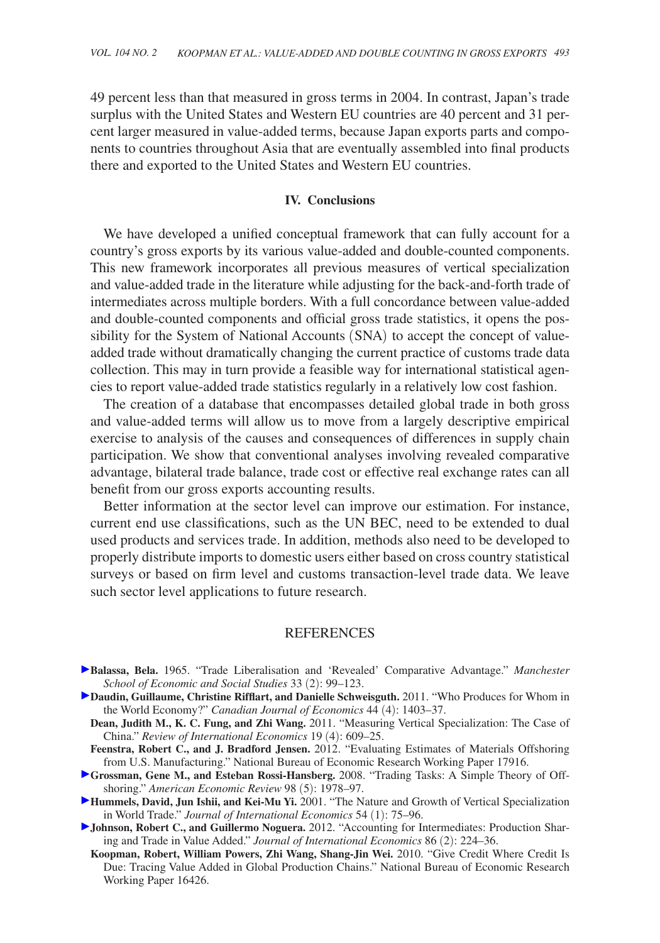49 percent less than that measured in gross terms in 2004. In contrast, Japan's trade surplus with the United States and Western EU countries are 40 percent and 31 percent larger measured in value-added terms, because Japan exports parts and components to countries throughout Asia that are eventually assembled into final products there and exported to the United States and Western EU countries.

## **IV. Conclusions**

We have developed a unified conceptual framework that can fully account for a country's gross exports by its various value-added and double-counted components. This new framework incorporates all previous measures of vertical specialization and value-added trade in the literature while adjusting for the back-and-forth trade of intermediates across multiple borders. With a full concordance between value-added and double-counted components and official gross trade statistics, it opens the possibility for the System of National Accounts (SNA) to accept the concept of valueadded trade without dramatically changing the current practice of customs trade data collection. This may in turn provide a feasible way for international statistical agencies to report value-added trade statistics regularly in a relatively low cost fashion.

The creation of a database that encompasses detailed global trade in both gross and value-added terms will allow us to move from a largely descriptive empirical exercise to analysis of the causes and consequences of differences in supply chain participation. We show that conventional analyses involving revealed comparative advantage, bilateral trade balance, trade cost or effective real exchange rates can all benefit from our gross exports accounting results.

Better information at the sector level can improve our estimation. For instance, current end use classifications, such as the UN BEC, need to be extended to dual used products and services trade. In addition, methods also need to be developed to properly distribute imports to domestic users either based on cross country statistical surveys or based on firm level and customs transaction-level trade data. We leave such sector level applications to future research.

## **REFERENCES**

- **Balassa, Bela.** 1965. "Trade Liberalisation and 'Revealed' Comparative Advantage." *Manchester School of Economic and Social Studies* 33 (2): 99–123.
- **Daudin, Guillaume, Christine Rifflart, and Danielle Schweisguth.** 2011. "Who Produces for Whom in the World Economy?" *Canadian Journal of Economics* 44 (4): 1403–37.
	- **Dean, Judith M., K. C. Fung, and Zhi Wang.** 2011. "Measuring Vertical Specialization: The Case of China." *Review of International Economics* 19 (4): 609–25.
- **Feenstra, Robert C., and J. Bradford Jensen.** 2012. "Evaluating Estimates of Materials Offshoring from U.S. Manufacturing." National Bureau of Economic Research Working Paper 17916.
- **Grossman, Gene M., and Esteban Rossi-Hansberg.** 2008. "Trading Tasks: A Simple Theory of Offshoring." *American Economic Review* 98 (5): 1978–97.
- **Hummels, David, Jun Ishii, and Kei-Mu Yi.** 2001. "The Nature and Growth of Vertical Specialization in World Trade." *Journal of International Economics* 54 (1): 75–96.
- **Johnson, Robert C., and Guillermo Noguera.** 2012. "Accounting for Intermediates: Production Sharing and Trade in Value Added." *Journal of International Economics* 86 (2): 224–36.
	- **Koopman, Robert, William Powers, Zhi Wang, Shang-Jin Wei.** 2010. "Give Credit Where Credit Is Due: Tracing Value Added in Global Production Chains." National Bureau of Economic Research Working Paper 16426.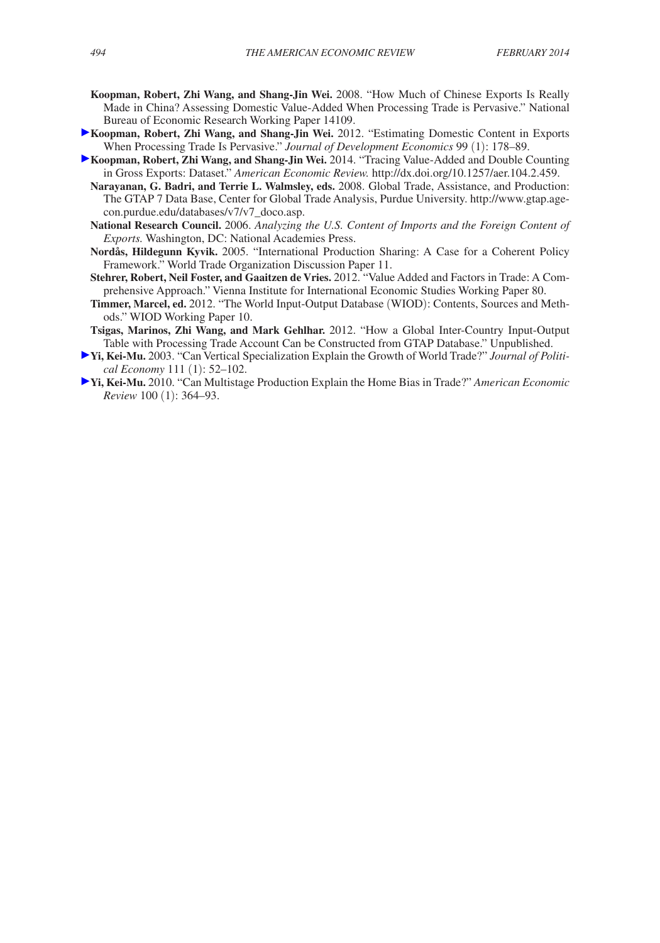- **Koopman, Robert, Zhi Wang, and Shang-Jin Wei.** 2008. "How Much of Chinese Exports Is Really Made in China? Assessing Domestic Value-Added When Processing Trade is Pervasive." National Bureau of Economic Research Working Paper 14109.
- **Koopman, Robert, Zhi Wang, and Shang-Jin Wei.** 2012. "Estimating Domestic Content in Exports When Processing Trade Is Pervasive." *Journal of Development Economics* 99 (1): 178–89.
- **Koopman, Robert, Zhi Wang, and Shang-Jin Wei.** 2014. "Tracing Value-Added and Double Counting in Gross Exports: Dataset." *American Economic Review.* http://dx.doi.org/10.1257/aer.104.2.459.
	- **Narayanan, G. Badri, and Terrie L. Walmsley, eds.** 2008. Global Trade, Assistance, and Production: The GTAP 7 Data Base, Center for Global Trade Analysis, Purdue University. http://www.gtap.agecon.purdue.edu/databases/v7/v7\_doco.asp.
	- **National Research Council.** 2006. *Analyzing the U.S. Content of Imports and the Foreign Content of Exports.* Washington, DC: National Academies Press.
	- **Nordås, Hildegunn Kyvik.** 2005. "International Production Sharing: A Case for a Coherent Policy Framework." World Trade Organization Discussion Paper 11.
	- **Stehrer, Robert, Neil Foster, and Gaaitzen de Vries.** 2012. "Value Added and Factors in Trade: A Comprehensive Approach." Vienna Institute for International Economic Studies Working Paper 80.
	- **Timmer, Marcel, ed.** 2012. "The World Input-Output Database (WIOD): Contents, Sources and Methods." WIOD Working Paper 10.
- **Tsigas, Marinos, Zhi Wang, and Mark Gehlhar.** 2012. "How a Global Inter-Country Input-Output Table with Processing Trade Account Can be Constructed from GTAP Database." Unpublished.
- **Yi, Kei-Mu.** 2003. "Can Vertical Specialization Explain the Growth of World Trade?" *Journal of Political Economy* 111 (1): 52–102.
- **Yi, Kei-Mu.** 2010. "Can Multistage Production Explain the Home Bias in Trade?" *American Economic Review* 100 (1): 364–93.